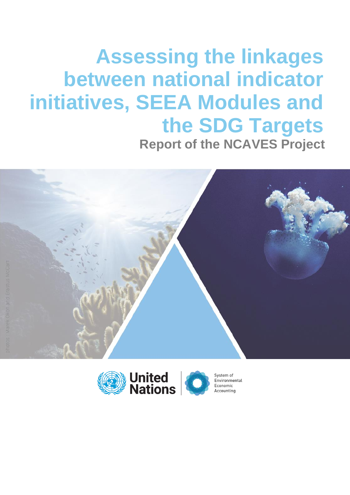# **Assessing the linkages between national indicator initiatives, SEEA Modules and the SDG Targets Report of the NCAVES Project**



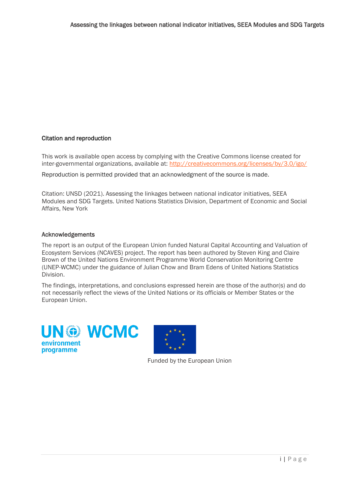#### Citation and reproduction

This work is available open access by complying with the Creative Commons license created for inter-governmental organizations, available at: http://creativecommons.org/licenses/by/3.0/igo/

Reproduction is permitted provided that an acknowledgment of the source is made.

Citation: UNSD (2021). Assessing the linkages between national indicator initiatives, SEEA Modules and SDG Targets. United Nations Statistics Division, Department of Economic and Social Affairs, New York

#### Acknowledgements

The report is an output of the European Union funded Natural Capital Accounting and Valuation of Ecosystem Services (NCAVES) project. The report has been authored by Steven King and Claire Brown of the United Nations Environment Programme World Conservation Monitoring Centre (UNEP-WCMC) under the guidance of Julian Chow and Bram Edens of United Nations Statistics Division.

The findings, interpretations, and conclusions expressed herein are those of the author(s) and do not necessarily reflect the views of the United Nations or its officials or Member States or the European Union.





Funded by the European Union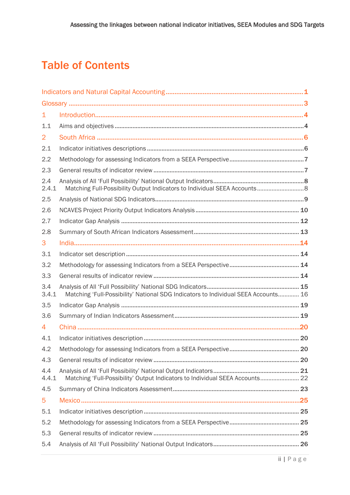## Table of Contents

| 1              |                                                                                    |  |
|----------------|------------------------------------------------------------------------------------|--|
| 1.1            |                                                                                    |  |
| $\overline{2}$ |                                                                                    |  |
| 2.1            |                                                                                    |  |
| 2.2            |                                                                                    |  |
| 2.3            |                                                                                    |  |
| 2.4<br>2.4.1   |                                                                                    |  |
| 2.5            |                                                                                    |  |
| 2.6            |                                                                                    |  |
| 2.7            |                                                                                    |  |
| 2.8            |                                                                                    |  |
| 3              |                                                                                    |  |
| 3.1            |                                                                                    |  |
| 3.2            |                                                                                    |  |
| 3.3            |                                                                                    |  |
| 3.4<br>3.4.1   | Matching 'Full-Possibility' National SDG Indicators to Individual SEEA Accounts 16 |  |
| 3.5            |                                                                                    |  |
| 3.6            |                                                                                    |  |
| 4              |                                                                                    |  |
| 4.1            |                                                                                    |  |
| 4.2            |                                                                                    |  |
| 4.3            |                                                                                    |  |
| 4.4<br>4.4.1   | Matching 'Full-Possibility' Output Indicators to Individual SEEA Accounts 22       |  |
| 4.5            |                                                                                    |  |
| 5              |                                                                                    |  |
| 5.1            |                                                                                    |  |
| 5.2            |                                                                                    |  |
| 5.3            |                                                                                    |  |
| 5.4            |                                                                                    |  |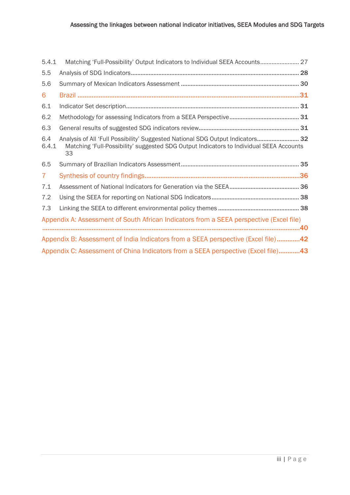| 5.4.1          | Matching 'Full-Possibility' Output Indicators to Individual SEEA Accounts 27                                                                                                    |  |
|----------------|---------------------------------------------------------------------------------------------------------------------------------------------------------------------------------|--|
| 5.5            |                                                                                                                                                                                 |  |
| 5.6            |                                                                                                                                                                                 |  |
| 6              |                                                                                                                                                                                 |  |
| 6.1            |                                                                                                                                                                                 |  |
| 6.2            |                                                                                                                                                                                 |  |
| 6.3            |                                                                                                                                                                                 |  |
| 6.4<br>6.4.1   | Analysis of All 'Full Possibility' Suggested National SDG Output Indicators 32<br>Matching 'Full-Possibility' suggested SDG Output Indicators to Individual SEEA Accounts<br>33 |  |
|                |                                                                                                                                                                                 |  |
| 6.5            |                                                                                                                                                                                 |  |
| 7 <sup>1</sup> |                                                                                                                                                                                 |  |
| 7.1            |                                                                                                                                                                                 |  |
| 7.2            |                                                                                                                                                                                 |  |
| 7.3            |                                                                                                                                                                                 |  |
|                | Appendix A: Assessment of South African Indicators from a SEEA perspective (Excel file)                                                                                         |  |
|                | Appendix B: Assessment of India Indicators from a SEEA perspective (Excel file)42                                                                                               |  |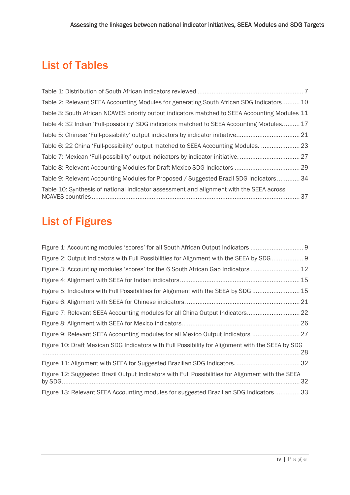## List of Tables

| Table 2: Relevant SEEA Accounting Modules for generating South African SDG Indicators 10       |
|------------------------------------------------------------------------------------------------|
| Table 3: South African NCAVES priority output indicators matched to SEEA Accounting Modules 11 |
| Table 4: 32 Indian 'Full-possibility' SDG indicators matched to SEEA Accounting Modules 17     |
|                                                                                                |
| Table 6: 22 China 'Full-possibility' output matched to SEEA Accounting Modules.  23            |
|                                                                                                |
|                                                                                                |
| Table 9: Relevant Accounting Modules for Proposed / Suggested Brazil SDG Indicators  34        |
| Table 10: Synthesis of national indicator assessment and alignment with the SEEA across        |

## List of Figures

| Figure 1: Accounting modules 'scores' for all South African Output Indicators                     |
|---------------------------------------------------------------------------------------------------|
| Figure 2: Output Indicators with Full Possibilities for Alignment with the SEEA by SDG  9         |
| Figure 3: Accounting modules 'scores' for the 6 South African Gap Indicators  12                  |
|                                                                                                   |
| Figure 5: Indicators with Full Possibilities for Alignment with the SEEA by SDG  15               |
|                                                                                                   |
| Figure 7: Relevant SEEA Accounting modules for all China Output Indicators 22                     |
|                                                                                                   |
| Figure 9: Relevant SEEA Accounting modules for all Mexico Output Indicators 27                    |
| Figure 10: Draft Mexican SDG Indicators with Full Possibility for Alignment with the SEEA by SDG  |
|                                                                                                   |
| Figure 12: Suggested Brazil Output Indicators with Full Possibilities for Alignment with the SEEA |
| Figure 13: Relevant SEEA Accounting modules for suggested Brazilian SDG Indicators  33            |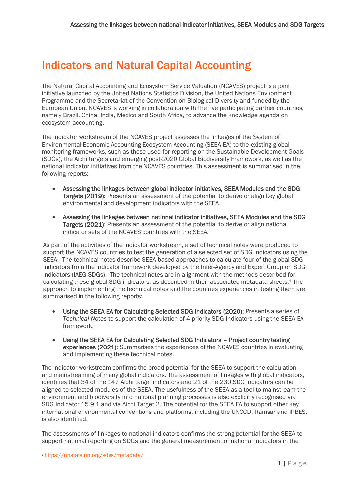## <span id="page-5-0"></span>Indicators and Natural Capital Accounting

The Natural Capital Accounting and Ecosystem Service Valuation (NCAVES) project is a joint initiative launched by the United Nations Statistics Division, the United Nations Environment Programme and the Secretariat of the Convention on Biological Diversity and funded by the European Union. NCAVES is working in collaboration with the five participating partner countries, namely Brazil, China, India, Mexico and South Africa, to advance the knowledge agenda on ecosystem accounting.

The indicator workstream of the NCAVES project assesses the linkages of the System of Environmental-Economic Accounting Ecosystem Accounting (SEEA EA) to the existing global monitoring frameworks, such as those used for reporting on the Sustainable Development Goals (SDGs), the Aichi targets and emerging post-2020 Global Biodiversity Framework, as well as the national indicator initiatives from the NCAVES countries. This assessment is summarised in the following reports:

- Assessing the linkages between global indicator initiatives, SEEA Modules and the SDG Targets (2019): Presents an assessment of the potential to derive or align key global environmental and development indicators with the SEEA.
- Assessing the linkages between national indicator initiatives, SEEA Modules and the SDG Targets (2021): Presents an assessment of the potential to derive or align national indicator sets of the NCAVES countries with the SEEA.

As part of the activities of the indicator workstream, a set of technical notes were produced to support the NCAVES countries to test the generation of a selected set of SDG indicators using the SEEA. The technical notes describe SEEA based approaches to calculate four of the global SDG indicators from the indicator framework developed by the Inter-Agency and Expert Group on SDG Indicators (IAEG-SDGs). The technical notes are in alignment with the methods described for calculating these global SDG indicators, as described in their associated metadata sheets. <sup>1</sup> The approach to implementing the technical notes and the countries experiences in testing them are summarised in the following reports:

- Using the SEEA EA for Calculating Selected SDG Indicators (2020): Presents a series of *Technical Notes* to support the calculation of 4 priority SDG Indicators using the SEEA EA framework.
- Using the SEEA EA for Calculating Selected SDG Indicators Project country testing experiences (2021): Summarises the experiences of the NCAVES countries in evaluating and implementing these technical notes.

The indicator workstream confirms the broad potential for the SEEA to support the calculation and mainstreaming of many global indicators. The assessment of linkages with global indicators, identifies that 34 of the 147 Aichi target indicators and 21 of the 230 SDG indicators can be aligned to selected modules of the SEEA. The usefulness of the SEEA as a tool to mainstream the environment and biodiversity into national planning processes is also explicitly recognised via SDG Indicator 15.9.1 and via Aichi Target 2. The potential for the SEEA EA to support other key international environmental conventions and platforms, including the UNCCD, Ramsar and IPBES, is also identified.

The assessments of linkages to national indicators confirms the strong potential for the SEEA to support national reporting on SDGs and the general measurement of national indicators in the

<sup>1</sup> https://unstats.un.org/sdgs/metadata/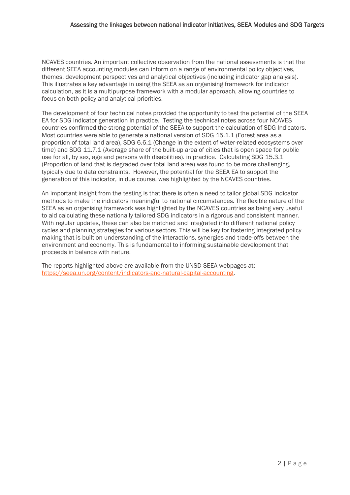NCAVES countries. An important collective observation from the national assessments is that the different SEEA accounting modules can inform on a range of environmental policy objectives, themes, development perspectives and analytical objectives (including indicator gap analysis). This illustrates a key advantage in using the SEEA as an organising framework for indicator calculation, as it is a multipurpose framework with a modular approach, allowing countries to focus on both policy and analytical priorities.

The development of four technical notes provided the opportunity to test the potential of the SEEA EA for SDG indicator generation in practice. Testing the technical notes across four NCAVES countries confirmed the strong potential of the SEEA to support the calculation of SDG Indicators. Most countries were able to generate a national version of SDG 15.1.1 (Forest area as a proportion of total land area), SDG 6.6.1 (Change in the extent of water-related ecosystems over time) and SDG 11.7.1 (Average share of the built-up area of cities that is open space for public use for all, by sex, age and persons with disabilities). in practice. Calculating SDG 15.3.1 (Proportion of land that is degraded over total land area) was found to be more challenging, typically due to data constraints. However, the potential for the SEEA EA to support the generation of this indicator, in due course, was highlighted by the NCAVES countries.

An important insight from the testing is that there is often a need to tailor global SDG indicator methods to make the indicators meaningful to national circumstances. The flexible nature of the SEEA as an organising framework was highlighted by the NCAVES countries as being very useful to aid calculating these nationally tailored SDG indicators in a rigorous and consistent manner. With regular updates, these can also be matched and integrated into different national policy cycles and planning strategies for various sectors. This will be key for fostering integrated policy making that is built on understanding of the interactions, synergies and trade-offs between the environment and economy. This is fundamental to informing sustainable development that proceeds in balance with nature.

The reports highlighted above are available from the UNSD SEEA webpages at: https://seea.un.org/content/indicators-and-natural-capital-accounting.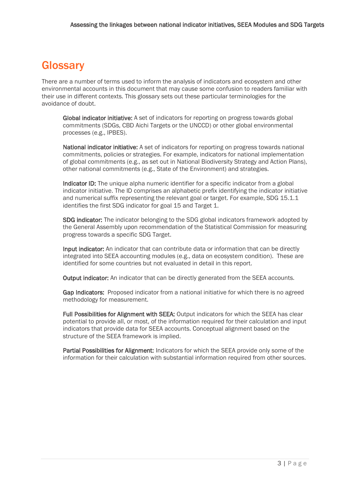## <span id="page-7-0"></span>**Glossarv**

There are a number of terms used to inform the analysis of indicators and ecosystem and other environmental accounts in this document that may cause some confusion to readers familiar with their use in different contexts. This glossary sets out these particular terminologies for the avoidance of doubt.

Global indicator initiative: A set of indicators for reporting on progress towards global commitments (SDGs, CBD Aichi Targets or the UNCCD) or other global environmental processes (e.g., IPBES).

National indicator initiative: A set of indicators for reporting on progress towards national commitments, policies or strategies. For example, indicators for national implementation of global commitments (e.g., as set out in National Biodiversity Strategy and Action Plans), other national commitments (e.g., State of the Environment) and strategies.

Indicator ID: The unique alpha numeric identifier for a specific indicator from a global indicator initiative. The ID comprises an alphabetic prefix identifying the indicator initiative and numerical suffix representing the relevant goal or target. For example, SDG 15.1.1 identifies the first SDG indicator for goal 15 and Target 1.

**SDG indicator:** The indicator belonging to the SDG global indicators framework adopted by the General Assembly upon recommendation of the Statistical Commission for measuring progress towards a specific SDG Target.

Input indicator: An indicator that can contribute data or information that can be directly integrated into SEEA accounting modules (e.g., data on ecosystem condition). These are identified for some countries but not evaluated in detail in this report.

**Output indicator:** An indicator that can be directly generated from the SEEA accounts.

Gap Indicators: Proposed indicator from a national initiative for which there is no agreed methodology for measurement.

Full Possibilities for Alignment with SEEA: Output indicators for which the SEEA has clear potential to provide all, or most, of the information required for their calculation and input indicators that provide data for SEEA accounts. Conceptual alignment based on the structure of the SEEA framework is implied.

Partial Possibilities for Alignment: Indicators for which the SEEA provide only some of the information for their calculation with substantial information required from other sources.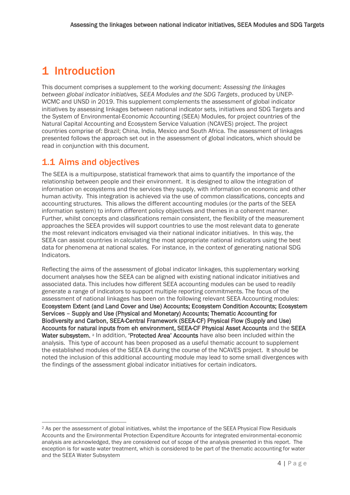## <span id="page-8-0"></span>1 Introduction

This document comprises a supplement to the working document: *Assessing the linkages between global indicator initiatives, SEEA Modules and the SDG Targets*, produced by UNEP-WCMC and UNSD in 2019. This supplement complements the assessment of global indicator initiatives by assessing linkages between national indicator sets, initiatives and SDG Targets and the System of Environmental-Economic Accounting (SEEA) Modules, for project countries of the Natural Capital Accounting and Ecosystem Service Valuation (NCAVES) project. The project countries comprise of: Brazil; China, India, Mexico and South Africa. The assessment of linkages presented follows the approach set out in the assessment of global indicators, which should be read in conjunction with this document.

## <span id="page-8-1"></span>1.1 Aims and objectives

The SEEA is a multipurpose, statistical framework that aims to quantify the importance of the relationship between people and their environment. It is designed to allow the integration of information on ecosystems and the services they supply, with information on economic and other human activity. This integration is achieved via the use of common classifications, concepts and accounting structures. This allows the different accounting modules (or the parts of the SEEA information system) to inform different policy objectives and themes in a coherent manner. Further, whilst concepts and classifications remain consistent, the flexibility of the measurement approaches the SEEA provides will support countries to use the most relevant data to generate the most relevant indicators envisaged via their national indicator initiatives. In this way, the SEEA can assist countries in calculating the most appropriate national indicators using the best data for phenomena at national scales. For instance, in the context of generating national SDG Indicators.

Reflecting the aims of the assessment of global indicator linkages, this supplementary working document analyses how the SEEA can be aligned with existing national indicator initiatives and associated data. This includes how different SEEA accounting modules can be used to readily generate a range of indicators to support multiple reporting commitments. The focus of the assessment of national linkages has been on the following relevant SEEA Accounting modules: Ecosystem Extent (and Land Cover and Use) Accounts; Ecosystem Condition Accounts; Ecosystem Services – Supply and Use (Physical and Monetary) Accounts; Thematic Accounting for Biodiversity and Carbon, SEEA-Central Framework (SEEA-CF) Physical Flow (Supply and Use) Accounts for natural inputs from eh environment, SEEA-CF Physical Asset Accounts and the SEEA Water subsystem. <sup>2</sup> In addition, 'Protected Area' Accounts have also been included within the analysis. This type of account has been proposed as a useful thematic account to supplement the established modules of the SEEA EA during the course of the NCAVES project. It should be noted the inclusion of this additional accounting module may lead to some small divergences with the findings of the assessment global indicator initiatives for certain indicators.

<sup>2</sup> As per the assessment of global initiatives, whilst the importance of the SEEA Physical Flow Residuals Accounts and the Environmental Protection Expenditure Accounts for integrated environmental-economic analysis are acknowledged, they are considered out of scope of the analysis presented in this report. The exception is for waste water treatment, which is considered to be part of the thematic accounting for water and the SEEA Water Subsystem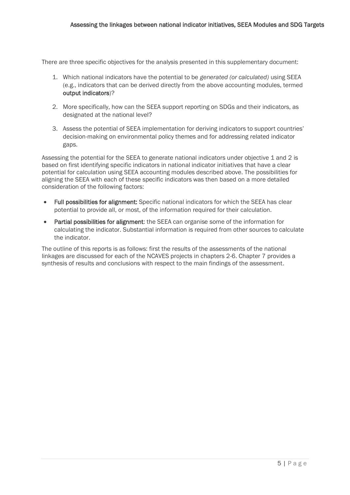There are three specific objectives for the analysis presented in this supplementary document:

- 1. Which national indicators have the potential to be *generated (or calculated)* using SEEA (e.g., indicators that can be derived directly from the above accounting modules, termed output indicators)?
- 2. More specifically, how can the SEEA support reporting on SDGs and their indicators, as designated at the national level?
- 3. Assess the potential of SEEA implementation for deriving indicators to support countries' decision-making on environmental policy themes and for addressing related indicator gaps.

Assessing the potential for the SEEA to generate national indicators under objective 1 and 2 is based on first identifying specific indicators in national indicator initiatives that have a clear potential for calculation using SEEA accounting modules described above. The possibilities for aligning the SEEA with each of these specific indicators was then based on a more detailed consideration of the following factors:

- Full possibilities for alignment: Specific national indicators for which the SEEA has clear potential to provide all, or most, of the information required for their calculation.
- Partial possibilities for alignment: the SEEA can organise some of the information for calculating the indicator. Substantial information is required from other sources to calculate the indicator.

The outline of this reports is as follows: first the results of the assessments of the national linkages are discussed for each of the NCAVES projects in chapters 2-6. Chapter 7 provides a synthesis of results and conclusions with respect to the main findings of the assessment.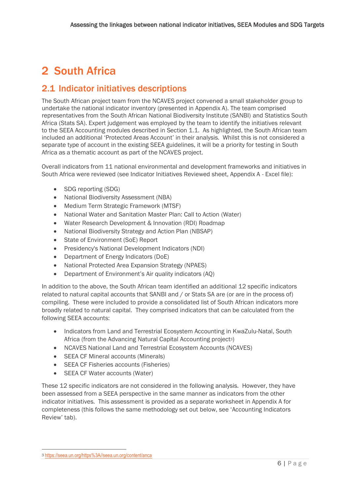## <span id="page-10-0"></span>2 South Africa

## <span id="page-10-1"></span>2.1 Indicator initiatives descriptions

The South African project team from the NCAVES project convened a small stakeholder group to undertake the national indicator inventory (presented in Appendix A). The team comprised representatives from the South African National Biodiversity Institute (SANBI) and Statistics South Africa (Stats SA). Expert judgement was employed by the team to identify the initiatives relevant to the SEEA Accounting modules described in Section [1.1.](#page-8-1) As highlighted, the South African team included an additional 'Protected Areas Account' in their analysis. Whilst this is not considered a separate type of account in the existing SEEA guidelines, it will be a priority for testing in South Africa as a thematic account as part of the NCAVES project.

Overall indicators from 11 national environmental and development frameworks and initiatives in South Africa were reviewed (see Indicator Initiatives Reviewed sheet, Appendix A - Excel file):

- SDG reporting (SDG)
- National Biodiversity Assessment (NBA)
- Medium Term Strategic Framework (MTSF)
- National Water and Sanitation Master Plan: Call to Action (Water)
- Water Research Development & Innovation (RDI) Roadmap
- National Biodiversity Strategy and Action Plan (NBSAP)
- State of Environment (SoE) Report
- Presidency's National Development Indicators (NDI)
- Department of Energy Indicators (DoE)
- National Protected Area Expansion Strategy (NPAES)
- Department of Environment's Air quality indicators (AQ)

In addition to the above, the South African team identified an additional 12 specific indicators related to natural capital accounts that SANBI and / or Stats SA are (or are in the process of) compiling. These were included to provide a consolidated list of South African indicators more broadly related to natural capital. They comprised indicators that can be calculated from the following SEEA accounts:

- Indicators from Land and Terrestrial Ecosystem Accounting in KwaZulu-Natal, South Africa (from the Advancing Natural Capital Accounting project3)
- NCAVES National Land and Terrestrial Ecosystem Accounts (NCAVES)
- SEEA CF Mineral accounts (Minerals)
- **SEEA CF Fisheries accounts (Fisheries)**
- SEEA CF Water accounts (Water)

These 12 specific indicators are not considered in the following analysis. However, they have been assessed from a SEEA perspective in the same manner as indicators from the other indicator initiatives. This assessment is provided as a separate worksheet in Appendix A for completeness (this follows the same methodology set out below, see 'Accounting Indicators Review' tab).

<sup>3</sup> [https://seea.un.org/https%3A//seea.un.org/content/anca](https://seea.un.org/https%3A/seea.un.org/content/anca)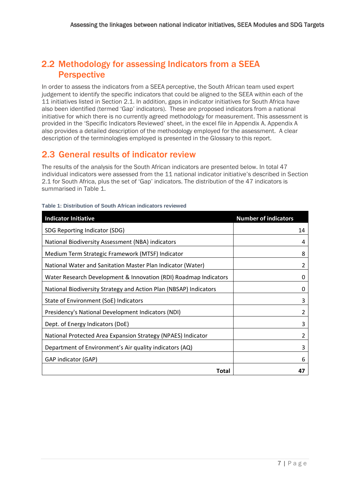## <span id="page-11-0"></span>2.2 Methodology for assessing Indicators from a SEEA **Perspective**

In order to assess the indicators from a SEEA perceptive, the South African team used expert judgement to identify the specific indicators that could be aligned to the SEEA within each of the 11 initiatives listed in Section [2.1.](#page-10-1) In addition, gaps in indicator initiatives for South Africa have also been identified (termed 'Gap' indicators). These are proposed indicators from a national initiative for which there is no currently agreed methodology for measurement. This assessment is provided in the 'Specific Indicators Reviewed' sheet, in the excel file in Appendix A. Appendix A also provides a detailed description of the methodology employed for the assessment. A clear description of the terminologies employed is presented in the Glossary to this report.

## <span id="page-11-1"></span>2.3 General results of indicator review

The results of the analysis for the South African indicators are presented below. In total 47 individual indicators were assessed from the 11 national indicator initiative's described in Section [2.1](#page-10-1) for South Africa, plus the set of 'Gap' indicators. The distribution of the 47 indicators is summarised in [Table 1.](#page-11-2)

| <b>Indicator Initiative</b>                                       | <b>Number of indicators</b> |
|-------------------------------------------------------------------|-----------------------------|
| SDG Reporting Indicator (SDG)                                     | 14                          |
| National Biodiversity Assessment (NBA) indicators                 | 4                           |
| Medium Term Strategic Framework (MTSF) Indicator                  | 8                           |
| National Water and Sanitation Master Plan Indicator (Water)       | 2                           |
| Water Research Development & Innovation (RDI) Roadmap Indicators  | 0                           |
| National Biodiversity Strategy and Action Plan (NBSAP) Indicators | 0                           |
| State of Environment (SoE) Indicators                             | 3                           |
| Presidency's National Development Indicators (NDI)                | 2                           |
| Dept. of Energy Indicators (DoE)                                  | 3                           |
| National Protected Area Expansion Strategy (NPAES) Indicator      | 2                           |
| Department of Environment's Air quality indicators (AQ)           | 3                           |
| GAP indicator (GAP)                                               | 6                           |
| Total                                                             | 47                          |

#### <span id="page-11-2"></span>**Table 1: Distribution of South African indicators reviewed**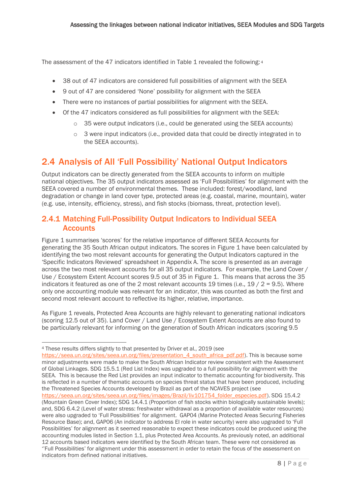The assessment of the 47 indicators identified i[n Table 1](#page-11-2) revealed the following: 4

- 38 out of 47 indicators are considered full possibilities of alignment with the SEEA
- 9 out of 47 are considered 'None' possibility for alignment with the SEEA
- There were no instances of partial possibilities for alignment with the SEEA.
- Of the 47 indicators considered as full possibilities for alignment with the SEEA:
	- $\circ$  35 were output indicators (i.e., could be generated using the SEEA accounts)
	- o 3 were input indicators (i.e., provided data that could be directly integrated in to the SEEA accounts).

## <span id="page-12-0"></span>2.4 Analysis of All 'Full Possibility' National Output Indicators

Output indicators can be directly generated from the SEEA accounts to inform on multiple national objectives. The 35 output indicators assessed as 'Full Possibilities' for alignment with the SEEA covered a number of environmental themes. These included: forest/woodland, land degradation or change in land cover type, protected areas (e.g. coastal, marine, mountain), water (e.g. use, intensity, efficiency, stress), and fish stocks (biomass, threat, protection level).

### <span id="page-12-1"></span>2.4.1 Matching Full-Possibility Output Indicators to Individual SEEA **Accounts**

[Figure 1](#page-13-1) summarises 'scores' for the relative importance of different SEEA Accounts for generating the 35 South African output indicators. The scores in [Figure 1](#page-13-1) have been calculated by identifying the two most relevant accounts for generating the Output Indicators captured in the 'Specific Indicators Reviewed' spreadsheet in Appendix A. The score is presented as an average across the two most relevant accounts for all 35 output indicators. For example, the Land Cover / Use / Ecosystem Extent Account scores 9.5 out of 35 in [Figure 1.](#page-13-1) This means that across the 35 indicators it featured as one of the 2 most relevant accounts 19 times (i.e.,  $19/2 = 9.5$ ). Where only one accounting module was relevant for an indicator, this was counted as both the first and second most relevant account to reflective its higher, relative, importance.

A[s Figure 1](#page-13-1) reveals, Protected Area Accounts are highly relevant to generating national indicators (scoring 12.5 out of 35). Land Cover / Land Use / Ecosystem Extent Accounts are also found to be particularly relevant for informing on the generation of South African indicators (scoring 9.5

https://seea.un.org/sites/seea.un.org/files/images/Brazil/liv101754\_folder\_especies.pdf). SDG 15.4.2

<sup>4</sup> These results differs slightly to that presented by Driver et al., 2019 (see

https://seea.un.org/sites/seea.un.org/files/presentation 4 south africa pdf.pdf). This is because some minor adjustments were made to make the South African Indicator review consistent with the Assessment of Global Linkages. SDG 15.5.1 (Red List Index) was upgraded to a full possibility for alignment with the SEEA. This is because the Red List provides an input indicator to thematic accounting for biodiversity. This is reflected in a number of thematic accounts on species threat status that have been produced, including the Threatened Species Accounts developed by Brazil as part of the NCAVES project (see

<sup>(</sup>Mountain Green Cover Index); SDG 14.4.1 (Proportion of fish stocks within biologically sustainable levels); and, SDG 6.4.2 (Level of water stress: freshwater withdrawal as a proportion of available water resources) were also upgraded to 'Full Possibilities' for alignment. GAP04 (Marine Protected Areas Securing Fisheries Resource Base); and, GAP06 (An indicator to address EI role in water security) were also upgraded to 'Full Possibilities' for alignment as it seemed reasonable to expect these indicators could be produced using the accounting modules listed in Section [1.1,](#page-8-1) plus Protected Area Accounts. As previously noted, an additional 12 accounts based indicators were identified by the South African team. These were not considered as ''Full Possibilities' for alignment under this assessment in order to retain the focus of the assessment on indicators from defined national initiatives.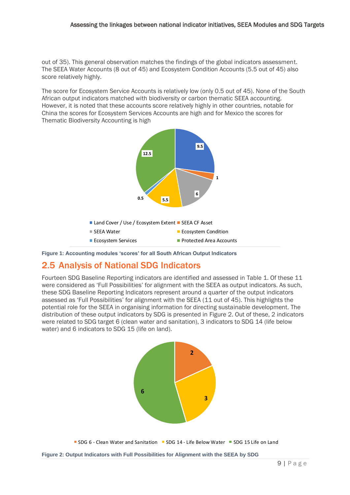out of 35). This general observation matches the findings of the global indicators assessment. The SEEA Water Accounts (8 out of 45) and Ecosystem Condition Accounts (5.5 out of 45) also score relatively highly.

The score for Ecosystem Service Accounts is relatively low (only 0.5 out of 45). None of the South African output indicators matched with biodiversity or carbon thematic SEEA accounting. However, it is noted that these accounts score relatively highly in other countries, notable for China the scores for Ecosystem Services Accounts are high and for Mexico the scores for Thematic Biodiversity Accounting is high



<span id="page-13-1"></span>**Figure 1: Accounting modules 'scores' for all South African Output Indicators**

## <span id="page-13-0"></span>2.5 Analysis of National SDG Indicators

Fourteen SDG Baseline Reporting indicators are identified and assessed in [Table 1.](#page-11-2) Of these 11 were considered as 'Full Possibilities' for alignment with the SEEA as output indicators. As such, these SDG Baseline Reporting Indicators represent around a quarter of the output indicators assessed as 'Full Possibilities' for alignment with the SEEA (11 out of 45). This highlights the potential role for the SEEA in organising information for directing sustainable development. The distribution of these output indicators by SDG is presented in Figure 2. Out of these, 2 indicators were related to SDG target 6 (clean water and sanitation), 3 indicators to SDG 14 (life below water) and 6 indicators to SDG 15 (life on land).



<span id="page-13-2"></span>SDG 6 - Clean Water and Sanitation  $\blacksquare$  SDG 14 - Life Below Water  $\blacksquare$  SDG 15 Life on Land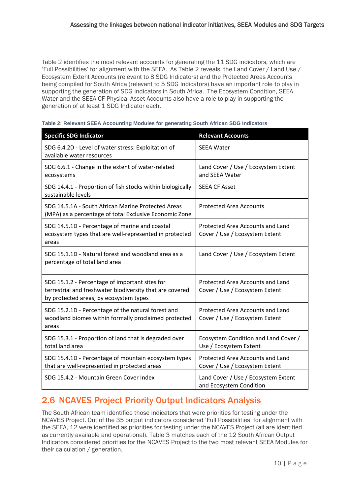[Table 2](#page-14-1) identifies the most relevant accounts for generating the 11 SDG indicators, which are 'Full Possibilities' for alignment with the SEEA. As [Table 2](#page-14-1) reveals, the Land Cover / Land Use / Ecosystem Extent Accounts (relevant to 8 SDG Indicators) and the Protected Areas Accounts being compiled for South Africa (relevant to 5 SDG Indicators) have an important role to play in supporting the generation of SDG indicators in South Africa. The Ecosystem Condition, SEEA Water and the SEEA CF Physical Asset Accounts also have a role to play in supporting the generation of at least 1 SDG Indicator each.

| <b>Specific SDG Indicator</b>                                                                                                                        | <b>Relevant Accounts</b>                                           |
|------------------------------------------------------------------------------------------------------------------------------------------------------|--------------------------------------------------------------------|
| SDG 6.4.2D - Level of water stress: Exploitation of<br>available water resources                                                                     | <b>SEEA Water</b>                                                  |
| SDG 6.6.1 - Change in the extent of water-related<br>ecosystems                                                                                      | Land Cover / Use / Ecosystem Extent<br>and SEEA Water              |
| SDG 14.4.1 - Proportion of fish stocks within biologically<br>sustainable levels                                                                     | <b>SEEA CF Asset</b>                                               |
| SDG 14.5.1A - South African Marine Protected Areas<br>(MPA) as a percentage of total Exclusive Economic Zone                                         | <b>Protected Area Accounts</b>                                     |
| SDG 14.5.1D - Percentage of marine and coastal<br>ecosystem types that are well-represented in protected<br>areas                                    | Protected Area Accounts and Land<br>Cover / Use / Ecosystem Extent |
| SDG 15.1.1D - Natural forest and woodland area as a<br>percentage of total land area                                                                 | Land Cover / Use / Ecosystem Extent                                |
| SDG 15.1.2 - Percentage of important sites for<br>terrestrial and freshwater biodiversity that are covered<br>by protected areas, by ecosystem types | Protected Area Accounts and Land<br>Cover / Use / Ecosystem Extent |
| SDG 15.2.1D - Percentage of the natural forest and<br>woodland biomes within formally proclaimed protected<br>areas                                  | Protected Area Accounts and Land<br>Cover / Use / Ecosystem Extent |
| SDG 15.3.1 - Proportion of land that is degraded over<br>total land area                                                                             | Ecosystem Condition and Land Cover /<br>Use / Ecosystem Extent     |
| SDG 15.4.1D - Percentage of mountain ecosystem types<br>that are well-represented in protected areas                                                 | Protected Area Accounts and Land<br>Cover / Use / Ecosystem Extent |
| SDG 15.4.2 - Mountain Green Cover Index                                                                                                              | Land Cover / Use / Ecosystem Extent<br>and Ecosystem Condition     |

#### <span id="page-14-1"></span>**Table 2: Relevant SEEA Accounting Modules for generating South African SDG Indicators**

### <span id="page-14-0"></span>2.6 NCAVES Project Priority Output Indicators Analysis

The South African team identified those indicators that were priorities for testing under the NCAVES Project. Out of the 35 output indicators considered 'Full Possibilities' for alignment with the SEEA, 12 were identified as priorities for testing under the NCAVES Project (all are identified as currently available and operational). [Table 3](#page-15-0) matches each of the 12 South African Output Indicators considered priorities for the NCAVES Project to the two most relevant SEEA Modules for their calculation / generation.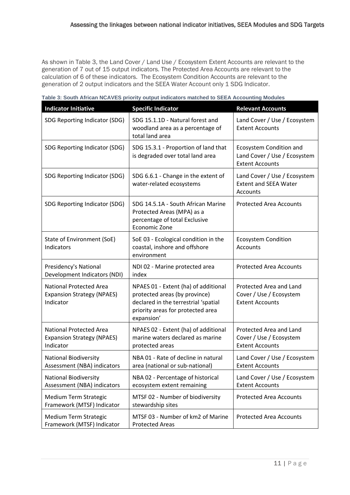As shown in [Table 3,](#page-15-0) the Land Cover / Land Use / Ecosystem Extent Accounts are relevant to the generation of 7 out of 15 output indicators. The Protected Area Accounts are relevant to the calculation of 6 of these indicators. The Ecosystem Condition Accounts are relevant to the generation of 2 output indicators and the SEEA Water Account only 1 SDG Indicator.

| <b>Indicator Initiative</b>                                                      | <b>Specific Indicator</b>                                                                                                                                        | <b>Relevant Accounts</b>                                                          |
|----------------------------------------------------------------------------------|------------------------------------------------------------------------------------------------------------------------------------------------------------------|-----------------------------------------------------------------------------------|
| SDG Reporting Indicator (SDG)                                                    | SDG 15.1.1D - Natural forest and<br>woodland area as a percentage of<br>total land area                                                                          | Land Cover / Use / Ecosystem<br><b>Extent Accounts</b>                            |
| SDG Reporting Indicator (SDG)                                                    | SDG 15.3.1 - Proportion of land that<br>is degraded over total land area                                                                                         | Ecosystem Condition and<br>Land Cover / Use / Ecosystem<br><b>Extent Accounts</b> |
| SDG Reporting Indicator (SDG)                                                    | SDG 6.6.1 - Change in the extent of<br>water-related ecosystems                                                                                                  | Land Cover / Use / Ecosystem<br><b>Extent and SEEA Water</b><br>Accounts          |
| SDG Reporting Indicator (SDG)                                                    | SDG 14.5.1A - South African Marine<br>Protected Areas (MPA) as a<br>percentage of total Exclusive<br>Economic Zone                                               | <b>Protected Area Accounts</b>                                                    |
| State of Environment (SoE)<br>Indicators                                         | SoE 03 - Ecological condition in the<br>coastal, inshore and offshore<br>environment                                                                             | <b>Ecosystem Condition</b><br>Accounts                                            |
| Presidency's National<br>Development Indicators (NDI)                            | NDI 02 - Marine protected area<br>index                                                                                                                          | <b>Protected Area Accounts</b>                                                    |
| <b>National Protected Area</b><br><b>Expansion Strategy (NPAES)</b><br>Indicator | NPAES 01 - Extent (ha) of additional<br>protected areas (by province)<br>declared in the terrestrial 'spatial<br>priority areas for protected area<br>expansion' | Protected Area and Land<br>Cover / Use / Ecosystem<br><b>Extent Accounts</b>      |
| <b>National Protected Area</b><br><b>Expansion Strategy (NPAES)</b><br>Indicator | NPAES 02 - Extent (ha) of additional<br>marine waters declared as marine<br>protected areas                                                                      | Protected Area and Land<br>Cover / Use / Ecosystem<br><b>Extent Accounts</b>      |
| <b>National Biodiversity</b><br>Assessment (NBA) indicators                      | NBA 01 - Rate of decline in natural<br>area (national or sub-national)                                                                                           | Land Cover / Use / Ecosystem<br><b>Extent Accounts</b>                            |
| <b>National Biodiversity</b><br>Assessment (NBA) indicators                      | NBA 02 - Percentage of historical<br>ecosystem extent remaining                                                                                                  | Land Cover / Use / Ecosystem<br><b>Extent Accounts</b>                            |
| Medium Term Strategic<br>Framework (MTSF) Indicator                              | MTSF 02 - Number of biodiversity<br>stewardship sites                                                                                                            | <b>Protected Area Accounts</b>                                                    |
| Medium Term Strategic<br>Framework (MTSF) Indicator                              | MTSF 03 - Number of km2 of Marine<br><b>Protected Areas</b>                                                                                                      | <b>Protected Area Accounts</b>                                                    |

<span id="page-15-0"></span>**Table 3: South African NCAVES priority output indicators matched to SEEA Accounting Modules**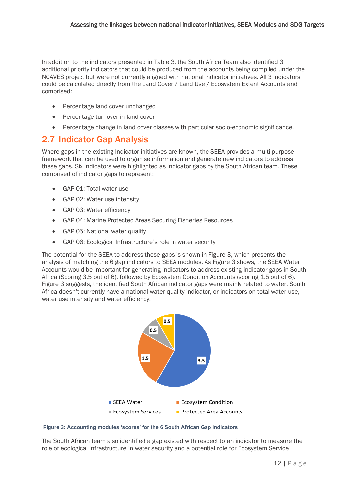In addition to the indicators presented in [Table 3,](#page-15-0) the South Africa Team also identified 3 additional priority indicators that could be produced from the accounts being compiled under the NCAVES project but were not currently aligned with national indicator initiatives. All 3 indicators could be calculated directly from the Land Cover / Land Use / Ecosystem Extent Accounts and comprised:

- Percentage land cover unchanged
- Percentage turnover in land cover
- Percentage change in land cover classes with particular socio-economic significance.

### <span id="page-16-0"></span>2.7 Indicator Gap Analysis

Where gaps in the existing Indicator initiatives are known, the SEEA provides a multi-purpose framework that can be used to organise information and generate new indicators to address these gaps. Six indicators were highlighted as indicator gaps by the South African team. These comprised of indicator gaps to represent:

- GAP 01: Total water use
- GAP 02: Water use intensity
- GAP 03: Water efficiency
- GAP 04: Marine Protected Areas Securing Fisheries Resources
- GAP 05: National water quality
- GAP 06: Ecological Infrastructure's role in water security

The potential for the SEEA to address these gaps is shown in [Figure 3,](#page-16-1) which presents the analysis of matching the 6 gap indicators to SEEA modules. As [Figure 3](#page-16-1) shows, the SEEA Water Accounts would be important for generating indicators to address existing indicator gaps in South Africa (Scoring 3.5 out of 6), followed by Ecosystem Condition Accounts (scoring 1.5 out of 6). [Figure 3](#page-16-1) suggests, the identified South African indicator gaps were mainly related to water. South Africa doesn't currently have a national water quality indicator, or indicators on total water use, water use intensity and water efficiency.



<span id="page-16-1"></span>

The South African team also identified a gap existed with respect to an indicator to measure the role of ecological infrastructure in water security and a potential role for Ecosystem Service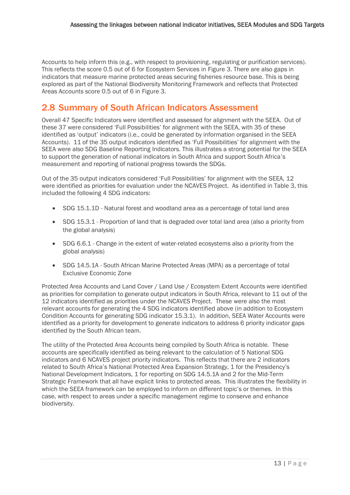Accounts to help inform this (e.g., with respect to provisioning, regulating or purification services). This reflects the score 0.5 out of 6 for Ecosystem Services in [Figure 3.](#page-16-1) There are also gaps in indicators that measure marine protected areas securing fisheries resource base. This is being explored as part of the National Biodiversity Monitoring Framework and reflects that Protected Areas Accounts score 0.5 out of 6 in [Figure 3.](#page-16-1)

## <span id="page-17-0"></span>2.8 Summary of South African Indicators Assessment

Overall 47 Specific Indicators were identified and assessed for alignment with the SEEA. Out of these 37 were considered 'Full Possibilities' for alignment with the SEEA, with 35 of these identified as 'output' indicators (i.e., could be generated by information organised in the SEEA Accounts). 11 of the 35 output indicators identified as 'Full Possibilities' for alignment with the SEEA were also SDG Baseline Reporting Indicators. This illustrates a strong potential for the SEEA to support the generation of national indicators in South Africa and support South Africa's measurement and reporting of national progress towards the SDGs.

Out of the 35 output indicators considered 'Full Possibilities' for alignment with the SEEA, 12 were identified as priorities for evaluation under the NCAVES Project. As identified in [Table 3,](#page-15-0) this included the following 4 SDG indicators:

- SDG 15.1.1D Natural forest and woodland area as a percentage of total land area
- SDG 15.3.1 Proportion of land that is degraded over total land area (also a priority from the global analysis)
- SDG 6.6.1 Change in the extent of water-related ecosystems also a priority from the global analysis)
- SDG 14.5.1A South African Marine Protected Areas (MPA) as a percentage of total Exclusive Economic Zone

Protected Area Accounts and Land Cover / Land Use / Ecosystem Extent Accounts were identified as priorities for compilation to generate output indicators in South Africa, relevant to 11 out of the 12 indicators identified as priorities under the NCAVES Project. These were also the most relevant accounts for generating the 4 SDG indicators identified above (in addition to Ecosystem Condition Accounts for generating SDG indicator 15.3.1). In addition, SEEA Water Accounts were identified as a priority for development to generate indicators to address 6 priority indicator gaps identified by the South African team.

The utility of the Protected Area Accounts being compiled by South Africa is notable. These accounts are specifically identified as being relevant to the calculation of 5 National SDG indicators and 6 NCAVES project priority indicators. This reflects that there are 2 indicators related to South Africa's National Protected Area Expansion Strategy, 1 for the Presidency's National Development Indicators, 1 for reporting on SDG 14.5.1A and 2 for the Mid-Term Strategic Framework that all have explicit links to protected areas. This illustrates the flexibility in which the SEEA framework can be employed to inform on different topic's or themes. In this case, with respect to areas under a specific management regime to conserve and enhance biodiversity.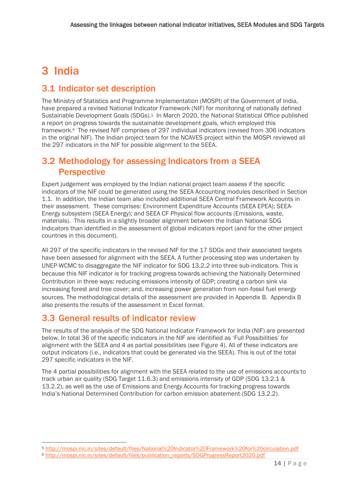## <span id="page-18-0"></span>3 India

## <span id="page-18-1"></span>3.1 Indicator set description

The Ministry of Statistics and Programme Implementation (MOSPI) of the Government of India, have prepared a revised National Indicator Framework (NIF) for monitoring of nationally defined Sustainable Development Goals (SDGs).5 In March 2020, the National Statistical Office published a report on progress towards the sustainable development goals, which employed this framework.6 The revised NIF comprises of 297 individual indicators (revised from 306 indicators in the original NIF). The Indian project team for the NCAVES project within the MOSPI reviewed all the 297 indicators in the NIF for possible alignment to the SEEA.

### <span id="page-18-2"></span>3.2 Methodology for assessing Indicators from a SEEA **Perspective**

Expert judgement was employed by the Indian national project team assess if the specific indicators of the NIF could be generated using the SEEA Accounting modules described in Section [1.1.](#page-8-1) In addition, the Indian team also included additional SEEA Central Framework Accounts in their assessment. These comprises: Environment Expenditure Accounts (SEEA EPEA); SEEA-Energy subsystem (SEEA Energy); and SEEA CF Physical flow accounts (Emissions, waste, materials). This results in a slightly broader alignment between the Indian National SDG Indicators than identified in the assessment of global indicators report (and for the other project countries in this document).

All 297 of the specific indicators in the revised NIF for the 17 SDGs and their associated targets have been assessed for alignment with the SEEA. A further processing step was undertaken by UNEP-WCMC to disaggregate the NIF indicator for SDG 13.2.2 into three sub-indicators. This is because this NIF indicator is for tracking progress towards achieving the Nationally Determined Contribution in three ways: reducing emissions intensity of GDP; creating a carbon sink via increasing forest and tree cover; and, increasing power generation from non-fossil fuel energy sources. The methodological details of the assessment are provided in Appendix B. Appendix B also presents the results of the assessment in Excel format.

## <span id="page-18-3"></span>3.3 General results of indicator review

The results of the analysis of the SDG National Indicator Framework for India (NIF) are presented below. In total 36 of the specific indicators in the NIF are identified as 'Full Possibilities' for alignment with the SEEA and 4 as partial possibilities (see [Figure 4\)](#page-19-1). All of these indicators are output indicators (i.e., indicators that could be generated via the SEEA). This is out of the total 297 specific indicators in the NIF.

The 4 partial possibilities for alignment with the SEEA related to the use of emissions accounts to track urban air quality (SDG Target 11.6.3) and emissions intensity of GDP (SDG 13.2.1 & 13.2.2), as well as the use of Emissions and Energy Accounts for tracking progress towards India's National Determined Contribution for carbon emission abatement (SDG 13.2.2).

<sup>5</sup> http://mospi.nic.in/sites/default/files/National%20Indicator%20Framework%20for%20circulation.pdf

<sup>6</sup> http://mospi.nic.in/sites/default/files/publication\_reports/SDGProgressReport2020.pdf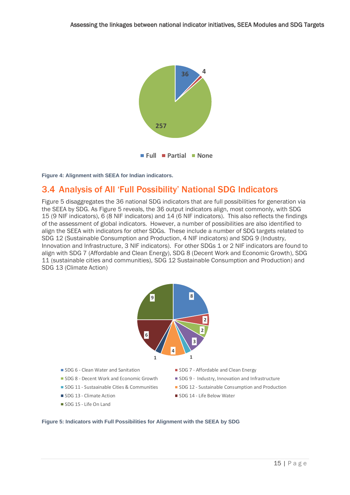

<span id="page-19-1"></span>**Figure 4: Alignment with SEEA for Indian indicators.** 

## <span id="page-19-0"></span>3.4 Analysis of All 'Full Possibility' National SDG Indicators

[Figure 5](#page-19-2) disaggregates the 36 national SDG indicators that are full possibilities for generation via the SEEA by SDG. A[s Figure 5](#page-19-2) reveals, the 36 output indicators align, most commonly, with SDG 15 (9 NIF indicators), 6 (8 NIF indicators) and 14 (6 NIF indicators). This also reflects the findings of the assessment of global indicators. However, a number of possibilities are also identified to align the SEEA with indicators for other SDGs. These include a number of SDG targets related to SDG 12 (Sustainable Consumption and Production, 4 NIF indicators) and SDG 9 (Industry, Innovation and Infrastructure, 3 NIF indicators). For other SDGs 1 or 2 NIF indicators are found to align with SDG 7 (Affordable and Clean Energy), SDG 8 (Decent Work and Economic Growth), SDG 11 (sustainable cities and communities), SDG 12 Sustainable Consumption and Production) and SDG 13 (Climate Action) **Indicators with Full Possibilities for Alignment with the SEEA by SDG** 



- 
- 
- 
- 
- SDG 15 Life On Land
- SDG 6 Clean Water and Sanitation Superinted SDG 7 Affordable and Clean Energy
- SDG 8 Decent Work and Economic Growth SDG 9 Industry, Innovation and Infrastructure
- **SDG 11 Sustaainable Cities & Communities** SDG 12 Sustainable Consumption and Production
- SDG 13 Climate Action SDG 14 Life Below Water

#### <span id="page-19-2"></span>**Figure 5: Indicators with Full Possibilities for Alignment with the SEEA by SDG**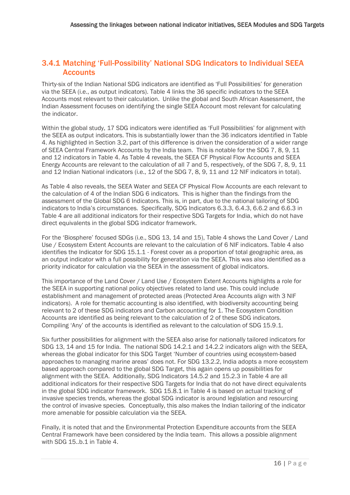### <span id="page-20-0"></span>3.4.1 Matching 'Full-Possibility' National SDG Indicators to Individual SEEA **Accounts**

Thirty-six of the Indian National SDG indicators are identified as 'Full Possibilities' for generation via the SEEA (i.e., as output indicators). [Table 4](#page-21-0) links the 36 specific indicators to the SEEA Accounts most relevant to their calculation. Unlike the global and South African Assessment, the Indian Assessment focuses on identifying the single SEEA Account most relevant for calculating the indicator.

Within the global study, 17 SDG indicators were identified as 'Full Possibilities' for alignment with the SEEA as output indicators. This is substantially lower than the 36 indicators identified in [Table](#page-21-0)  [4.](#page-21-0) As highlighted in Section [3.2,](#page-18-2) part of this difference is driven the consideration of a wider range of SEEA Central Framework Accounts by the India team. This is notable for the SDG 7, 8, 9, 11 and 12 indicators in [Table 4.](#page-21-0) A[s Table 4](#page-21-0) reveals, the SEEA CF Physical Flow Accounts and SEEA Energy Accounts are relevant to the calculation of all 7 and 5, respectively, of the SDG 7, 8, 9, 11 and 12 Indian National indicators (i.e., 12 of the SDG 7, 8, 9, 11 and 12 NIF indicators in total).

A[s Table 4](#page-21-0) also reveals, the SEEA Water and SEEA CF Physical Flow Accounts are each relevant to the calculation of 4 of the Indian SDG 6 indicators. This is higher than the findings from the assessment of the Global SDG 6 Indicators. This is, in part, due to the national tailoring of SDG indicators to India's circumstances. Specifically, SDG Indicators 6.3.3, 6.4.3, 6.6.2 and 6.6.3 in [Table 4](#page-21-0) are all additional indicators for their respective SDG Targets for India, which do not have direct equivalents in the global SDG indicator framework.

For the 'Biosphere' focused SDGs (i.e., SDG 13, 14 and 15), [Table 4](#page-21-0) shows the Land Cover / Land Use / Ecosystem Extent Accounts are relevant to the calculation of 6 NIF indicators. [Table 4](#page-21-0) also identifies the Indicator for SDG 15.1.1 - Forest cover as a proportion of total geographic area, as an output indicator with a full possibility for generation via the SEEA. This was also identified as a priority indicator for calculation via the SEEA in the assessment of global indicators.

This importance of the Land Cover / Land Use / Ecosystem Extent Accounts highlights a role for the SEEA in supporting national policy objectives related to land use. This could include establishment and management of protected areas (Protected Area Accounts align with 3 NIF indicators). A role for thematic accounting is also identified, with biodiversity accounting being relevant to 2 of these SDG indicators and Carbon accounting for 1. The Ecosystem Condition Accounts are identified as being relevant to the calculation of 2 of these SDG indicators. Compiling 'Any' of the accounts is identified as relevant to the calculation of SDG 15.9.1.

Six further possibilities for alignment with the SEEA also arise for nationally tailored indicators for SDG 13, 14 and 15 for India. The national SDG 14.2.1 and 14.2.2 indicators align with the SEEA, whereas the global indicator for this SDG Target 'Number of countries using ecosystem-based approaches to managing marine areas' does not. For SDG 13.2.2, India adopts a more ecosystem based approach compared to the global SDG Target, this again opens up possibilities for alignment with the SEEA. Additionally, SDG Indicators 14.5.2 and 15.2.3 i[n Table 4](#page-21-0) are all additional indicators for their respective SDG Targets for India that do not have direct equivalents in the global SDG indicator framework. SDG 15.8.1 i[n Table 4](#page-21-0) is based on actual tracking of invasive species trends, whereas the global SDG indicator is around legislation and resourcing the control of invasive species. Conceptually, this also makes the Indian tailoring of the indicator more amenable for possible calculation via the SEEA.

Finally, it is noted that and the Environmental Protection Expenditure accounts from the SEEA Central Framework have been considered by the India team. This allows a possible alignment with SDG 15..b.1 i[n Table 4.](#page-21-0)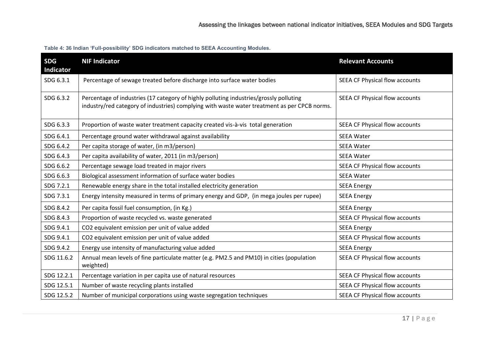<span id="page-21-0"></span>

| <b>SDG</b><br>Indicator | <b>NIF Indicator</b>                                                                                                                                                                   | <b>Relevant Accounts</b>              |
|-------------------------|----------------------------------------------------------------------------------------------------------------------------------------------------------------------------------------|---------------------------------------|
| SDG 6.3.1               | Percentage of sewage treated before discharge into surface water bodies                                                                                                                | SEEA CF Physical flow accounts        |
| SDG 6.3.2               | Percentage of industries (17 category of highly polluting industries/grossly polluting<br>industry/red category of industries) complying with waste water treatment as per CPCB norms. | SEEA CF Physical flow accounts        |
| SDG 6.3.3               | Proportion of waste water treatment capacity created vis-à-vis total generation                                                                                                        | <b>SEEA CF Physical flow accounts</b> |
| SDG 6.4.1               | Percentage ground water withdrawal against availability                                                                                                                                | <b>SEEA Water</b>                     |
| SDG 6.4.2               | Per capita storage of water, (in m3/person)                                                                                                                                            | <b>SEEA Water</b>                     |
| SDG 6.4.3               | Per capita availability of water, 2011 (in m3/person)                                                                                                                                  | <b>SEEA Water</b>                     |
| SDG 6.6.2               | Percentage sewage load treated in major rivers                                                                                                                                         | SEEA CF Physical flow accounts        |
| SDG 6.6.3               | Biological assessment information of surface water bodies                                                                                                                              | <b>SEEA Water</b>                     |
| SDG 7.2.1               | Renewable energy share in the total installed electricity generation                                                                                                                   | <b>SEEA Energy</b>                    |
| SDG 7.3.1               | Energy intensity measured in terms of primary energy and GDP, (in mega joules per rupee)                                                                                               | <b>SEEA Energy</b>                    |
| SDG 8.4.2               | Per capita fossil fuel consumption, (in Kg.)                                                                                                                                           | <b>SEEA Energy</b>                    |
| SDG 8.4.3               | Proportion of waste recycled vs. waste generated                                                                                                                                       | SEEA CF Physical flow accounts        |
| SDG 9.4.1               | CO2 equivalent emission per unit of value added                                                                                                                                        | <b>SEEA Energy</b>                    |
| SDG 9.4.1               | CO2 equivalent emission per unit of value added                                                                                                                                        | SEEA CF Physical flow accounts        |
| SDG 9.4.2               | Energy use intensity of manufacturing value added                                                                                                                                      | <b>SEEA Energy</b>                    |
| SDG 11.6.2              | Annual mean levels of fine particulate matter (e.g. PM2.5 and PM10) in cities (population<br>weighted)                                                                                 | SEEA CF Physical flow accounts        |
| SDG 12.2.1              | Percentage variation in per capita use of natural resources                                                                                                                            | SEEA CF Physical flow accounts        |
| SDG 12.5.1              | Number of waste recycling plants installed                                                                                                                                             | SEEA CF Physical flow accounts        |
| SDG 12.5.2              | Number of municipal corporations using waste segregation techniques                                                                                                                    | SEEA CF Physical flow accounts        |

**Table 4: 36 Indian 'Full-possibility' SDG indicators matched to SEEA Accounting Modules.**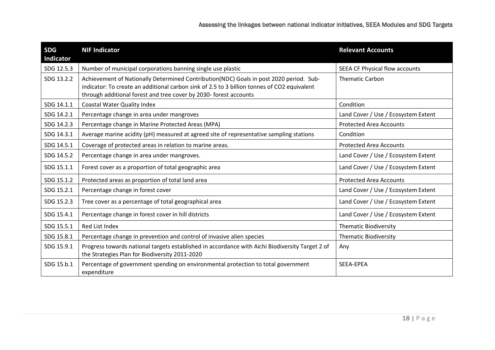| <b>SDG</b><br>Indicator | <b>NIF Indicator</b>                                                                                                                                                                                                                                       | <b>Relevant Accounts</b>            |
|-------------------------|------------------------------------------------------------------------------------------------------------------------------------------------------------------------------------------------------------------------------------------------------------|-------------------------------------|
| SDG 12.5.3              | Number of municipal corporations banning single use plastic                                                                                                                                                                                                | SEEA CF Physical flow accounts      |
| SDG 13.2.2              | Achievement of Nationally Determined Contribution(NDC) Goals in post 2020 period. Sub-<br>indicator: To create an additional carbon sink of 2.5 to 3 billion tonnes of CO2 equivalent<br>through additional forest and tree cover by 2030- forest accounts | <b>Thematic Carbon</b>              |
| SDG 14.1.1              | <b>Coastal Water Quality Index</b>                                                                                                                                                                                                                         | Condition                           |
| SDG 14.2.1              | Percentage change in area under mangroves                                                                                                                                                                                                                  | Land Cover / Use / Ecosystem Extent |
| SDG 14.2.3              | Percentage change in Marine Protected Areas (MPA)                                                                                                                                                                                                          | <b>Protected Area Accounts</b>      |
| SDG 14.3.1              | Average marine acidity (pH) measured at agreed site of representative sampling stations                                                                                                                                                                    | Condition                           |
| SDG 14.5.1              | Coverage of protected areas in relation to marine areas.                                                                                                                                                                                                   | <b>Protected Area Accounts</b>      |
| SDG 14.5.2              | Percentage change in area under mangroves.                                                                                                                                                                                                                 | Land Cover / Use / Ecosystem Extent |
| SDG 15.1.1              | Forest cover as a proportion of total geographic area                                                                                                                                                                                                      | Land Cover / Use / Ecosystem Extent |
| SDG 15.1.2              | Protected areas as proportion of total land area                                                                                                                                                                                                           | <b>Protected Area Accounts</b>      |
| SDG 15.2.1              | Percentage change in forest cover                                                                                                                                                                                                                          | Land Cover / Use / Ecosystem Extent |
| SDG 15.2.3              | Tree cover as a percentage of total geographical area                                                                                                                                                                                                      | Land Cover / Use / Ecosystem Extent |
| SDG 15.4.1              | Percentage change in forest cover in hill districts                                                                                                                                                                                                        | Land Cover / Use / Ecosystem Extent |
| SDG 15.5.1              | Red List Index                                                                                                                                                                                                                                             | <b>Thematic Biodiversity</b>        |
| SDG 15.8.1              | Percentage change in prevention and control of invasive alien species                                                                                                                                                                                      | <b>Thematic Biodiversity</b>        |
| SDG 15.9.1              | Progress towards national targets established in accordance with Aichi Biodiversity Target 2 of<br>the Strategies Plan for Biodiversity 2011-2020                                                                                                          | Any                                 |
| SDG 15.b.1              | Percentage of government spending on environmental protection to total government<br>expenditure                                                                                                                                                           | SEEA-EPEA                           |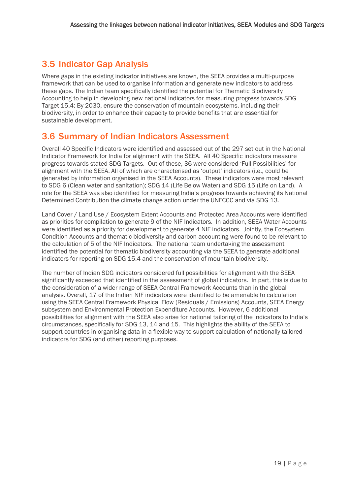## <span id="page-23-0"></span>3.5 Indicator Gap Analysis

Where gaps in the existing indicator initiatives are known, the SEEA provides a multi-purpose framework that can be used to organise information and generate new indicators to address these gaps. The Indian team specifically identified the potential for Thematic Biodiversity Accounting to help in developing new national indicators for measuring progress towards SDG Target 15.4: By 2030, ensure the conservation of mountain ecosystems, including their biodiversity, in order to enhance their capacity to provide benefits that are essential for sustainable development.

### <span id="page-23-1"></span>3.6 Summary of Indian Indicators Assessment

Overall 40 Specific Indicators were identified and assessed out of the 297 set out in the National Indicator Framework for India for alignment with the SEEA. All 40 Specific indicators measure progress towards stated SDG Targets. Out of these, 36 were considered 'Full Possibilities' for alignment with the SEEA. All of which are characterised as 'output' indicators (i.e., could be generated by information organised in the SEEA Accounts). These indicators were most relevant to SDG 6 (Clean water and sanitation); SDG 14 (Life Below Water) and SDG 15 (Life on Land). A role for the SEEA was also identified for measuring India's progress towards achieving its National Determined Contribution the climate change action under the UNFCCC and via SDG 13.

Land Cover / Land Use / Ecosystem Extent Accounts and Protected Area Accounts were identified as priorities for compilation to generate 9 of the NIF Indicators. In addition, SEEA Water Accounts were identified as a priority for development to generate 4 NIF indicators. Jointly, the Ecosystem Condition Accounts and thematic biodiversity and carbon accounting were found to be relevant to the calculation of 5 of the NIF Indicators. The national team undertaking the assessment identified the potential for thematic biodiversity accounting via the SEEA to generate additional indicators for reporting on SDG 15.4 and the conservation of mountain biodiversity.

The number of Indian SDG indicators considered full possibilities for alignment with the SEEA significantly exceeded that identified in the assessment of global indicators. In part, this is due to the consideration of a wider range of SEEA Central Framework Accounts than in the global analysis. Overall, 17 of the Indian NIF indicators were identified to be amenable to calculation using the SEEA Central Framework Physical Flow (Residuals / Emissions) Accounts, SEEA Energy subsystem and Environmental Protection Expenditure Accounts. However, 6 additional possibilities for alignment with the SEEA also arise for national tailoring of the indicators to India's circumstances, specifically for SDG 13, 14 and 15. This highlights the ability of the SEEA to support countries in organising data in a flexible way to support calculation of nationally tailored indicators for SDG (and other) reporting purposes.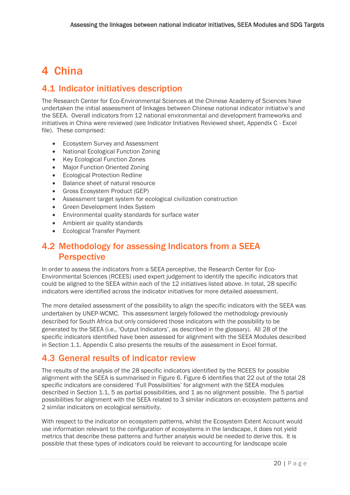## <span id="page-24-0"></span>4 China

## <span id="page-24-1"></span>4.1 Indicator initiatives description

The Research Center for Eco-Environmental Sciences at the Chinese Academy of Sciences have undertaken the initial assessment of linkages between Chinese national indicator initiative's and the SEEA. Overall indicators from 12 national environmental and development frameworks and initiatives in China were reviewed (see Indicator Initiatives Reviewed sheet, Appendix C - Excel file). These comprised:

- Ecosystem Survey and Assessment
- National Ecological Function Zoning
- Key Ecological Function Zones
- Major Function Oriented Zoning
- Ecological Protection Redline
- Balance sheet of natural resource
- Gross Ecosystem Product (GEP)
- Assessment target system for ecological civilization construction
- Green Development Index System
- Environmental quality standards for surface water
- Ambient air quality standards
- Ecological Transfer Payment

### <span id="page-24-2"></span>4.2 Methodology for assessing Indicators from a SEEA **Perspective**

In order to assess the indicators from a SEEA perceptive, the Research Center for Eco-Environmental Sciences (RCEES) used expert judgement to identify the specific indicators that could be aligned to the SEEA within each of the 12 initiatives listed above. In total, 28 specific indicators were identified across the indicator initiatives for more detailed assessment.

The more detailed assessment of the possibility to align the specific indicators with the SEEA was undertaken by UNEP-WCMC. This assessment largely followed the methodology previously described for South Africa but only considered those indicators with the possibility to be generated by the SEEA (i.e., 'Output Indicators', as described in the glossary). All 28 of the specific indicators identified have been assessed for alignment with the SEEA Modules described in Sectio[n 1.1.](#page-8-1) Appendix C also presents the results of the assessment in Excel format.

### <span id="page-24-3"></span>4.3 General results of indicator review

The results of the analysis of the 28 specific indicators identified by the RCEES for possible alignment with the SEEA is summarised i[n Figure 6. Figure 6](#page-25-2) identifies that 22 out of the total 28 specific indicators are considered 'Full Possibilities' for alignment with the SEEA modules described in Section [1.1,](#page-8-1) 5 as partial possibilities, and 1 as no alignment possible. The 5 partial possibilities for alignment with the SEEA related to 3 similar indicators on ecosystem patterns and 2 similar indicators on ecological sensitivity.

With respect to the indicator on ecosystem patterns, whilst the Ecosystem Extent Account would use information relevant to the configuration of ecosystems in the landscape, it does not yield metrics that describe these patterns and further analysis would be needed to derive this. It is possible that these types of indicators could be relevant to accounting for landscape scale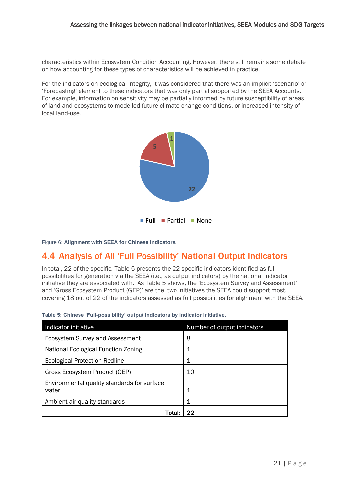characteristics within Ecosystem Condition Accounting. However, there still remains some debate on how accounting for these types of characteristics will be achieved in practice.

For the indicators on ecological integrity, it was considered that there was an implicit 'scenario' or 'Forecasting' element to these indicators that was only partial supported by the SEEA Accounts. For example, information on sensitivity may be partially informed by future susceptibility of areas of land and ecosystems to modelled future climate change conditions, or increased intensity of local land-use.



<span id="page-25-2"></span>Figure 6: **Alignment with SEEA for Chinese Indicators.** 

### <span id="page-25-0"></span>4.4 Analysis of All 'Full Possibility' National Output Indicators

In total, 22 of the specific[. Table 5](#page-25-1) presents the 22 specific indicators identified as full possibilities for generation via the SEEA (i.e., as output indicators) by the national indicator initiative they are associated with. A[s Table 5](#page-25-1) shows, the 'Ecosystem Survey and Assessment' and 'Gross Ecosystem Product (GEP)' are the two initiatives the SEEA could support most, covering 18 out of 22 of the indicators assessed as full possibilities for alignment with the SEEA.

| Indicator initiative                        | Number of output indicators |
|---------------------------------------------|-----------------------------|
| Ecosystem Survey and Assessment             | 8                           |
| National Ecological Function Zoning         |                             |
| Ecological Protection Redline               | 1                           |
| Gross Ecosystem Product (GEP)               | 10                          |
| Environmental quality standards for surface |                             |
| water                                       | 1                           |
| Ambient air quality standards               | 1                           |
| Total                                       | 22                          |

<span id="page-25-1"></span>**Table 5: Chinese 'Full-possibility' output indicators by indicator initiative.**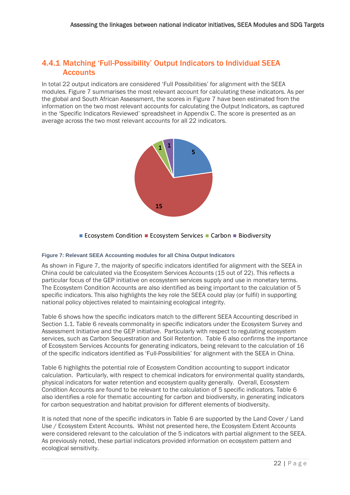#### <span id="page-26-0"></span>4.4.1 Matching 'Full-Possibility' Output Indicators to Individual SEEA **Accounts**

In total 22 output indicators are considered 'Full Possibilities' for alignment with the SEEA modules. [Figure 7](#page-26-1) summarises the most relevant account for calculating these indicators. As per the global and South African Assessment, the scores in [Figure 7](#page-26-1) have been estimated from the information on the two most relevant accounts for calculating the Output Indicators, as captured in the 'Specific Indicators Reviewed' spreadsheet in Appendix C. The score is presented as an in the 'Specific Indicators Reviewed' spreadsheet in Appendix C. The score is presented as an average across the two most relevant accounts for all 22 indicators.



Ecosystem Condition **Example 26 Figure 2016** Carbon **Biodiversity** 

#### <span id="page-26-1"></span>**Figure 7: Relevant SEEA Accounting modules for all China Output Indicators**

As shown in [Figure 7,](#page-26-1) the majority of specific indicators identified for alignment with the SEEA in China could be calculated via the Ecosystem Services Accounts (15 out of 22). This reflects a particular focus of the GEP initiative on ecosystem services supply and use in monetary terms. The Ecosystem Condition Accounts are also identified as being important to the calculation of 5 specific indicators. This also highlights the key role the SEEA could play (or fulfil) in supporting national policy objectives related to maintaining ecological integrity.

[Table 6](#page-27-1) shows how the specific indicators match to the different SEEA Accounting described in Section [1.1.](#page-8-1) [Table 6](#page-27-1) reveals commonality in specific indicators under the Ecosystem Survey and Assessment Initiative and the GEP initiative. Particularly with respect to regulating ecosystem services, such as Carbon Sequestration and Soil Retention. [Table 6](#page-27-1) also confirms the importance of Ecosystem Services Accounts for generating indicators, being relevant to the calculation of 16 of the specific indicators identified as 'Full-Possibilities' for alignment with the SEEA in China.

[Table 6](#page-27-1) highlights the potential role of Ecosystem Condition accounting to support indicator calculation. Particularly, with respect to chemical indicators for environmental quality standards, physical indicators for water retention and ecosystem quality generally. Overall, Ecosystem Condition Accounts are found to be relevant to the calculation of 5 specific indicators. [Table 6](#page-27-1) also identifies a role for thematic accounting for carbon and biodiversity, in generating indicators for carbon sequestration and habitat provision for different elements of biodiversity.

It is noted that none of the specific indicators in [Table 6](#page-27-1) are supported by the Land Cover / Land Use / Ecosystem Extent Accounts. Whilst not presented here, the Ecosystem Extent Accounts were considered relevant to the calculation of the 5 indicators with partial alignment to the SEEA. As previously noted, these partial indicators provided information on ecosystem pattern and ecological sensitivity.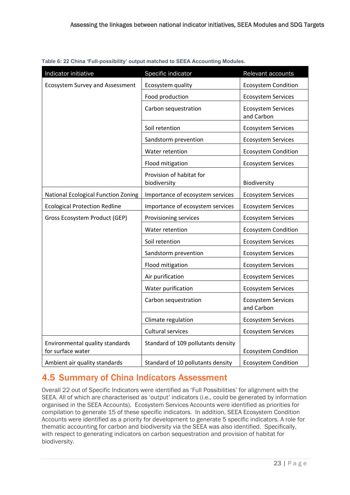| Indicator initiative                                 | Specific indicator                       | Relevant accounts                       |
|------------------------------------------------------|------------------------------------------|-----------------------------------------|
| <b>Ecosystem Survey and Assessment</b>               | Ecosystem quality                        | <b>Ecosystem Condition</b>              |
|                                                      | Food production                          | <b>Ecosystem Services</b>               |
|                                                      | Carbon sequestration                     | <b>Ecosystem Services</b><br>and Carbon |
|                                                      | Soil retention                           | <b>Ecosystem Services</b>               |
|                                                      | Sandstorm prevention                     | <b>Ecosystem Services</b>               |
|                                                      | Water retention                          | <b>Ecosystem Condition</b>              |
|                                                      | Flood mitigation                         | <b>Ecosystem Services</b>               |
|                                                      | Provision of habitat for<br>biodiversity | Biodiversity                            |
| National Ecological Function Zoning                  | Importance of ecosystem services         | <b>Ecosystem Services</b>               |
| <b>Ecological Protection Redline</b>                 | Importance of ecosystem services         | <b>Ecosystem Services</b>               |
| Gross Ecosystem Product (GEP)                        | Provisioning services                    | <b>Ecosystem Services</b>               |
|                                                      | Water retention                          | <b>Ecosystem Condition</b>              |
|                                                      | Soil retention                           | <b>Ecosystem Services</b>               |
|                                                      | Sandstorm prevention                     | <b>Ecosystem Services</b>               |
|                                                      | Flood mitigation                         | <b>Ecosystem Services</b>               |
|                                                      | Air purification                         | <b>Ecosystem Services</b>               |
|                                                      | Water purification                       | <b>Ecosystem Services</b>               |
|                                                      | Carbon sequestration                     | <b>Ecosystem Services</b><br>and Carbon |
|                                                      | Climate regulation                       | <b>Ecosystem Services</b>               |
|                                                      | Cultural services                        | <b>Ecosystem Services</b>               |
| Environmental quality standards<br>for surface water | Standard of 109 pollutants density       | <b>Ecosystem Condition</b>              |
| Ambient air quality standards                        | Standard of 10 pollutants density        | <b>Ecosystem Condition</b>              |

<span id="page-27-2"></span><span id="page-27-1"></span>**Table 6: 22 China 'Full-possibility' output matched to SEEA Accounting Modules.**

## <span id="page-27-0"></span>4.5 Summary of China Indicators Assessment

Overall 22 out of Specific Indicators were identified as 'Full Possibilities' for alignment with the SEEA. All of which are characterised as 'output' indicators (i.e., could be generated by information organised in the SEEA Accounts). Ecosystem Services Accounts were identified as priorities for compilation to generate 15 of these specific indicators. In addition, SEEA Ecosystem Condition Accounts were identified as a priority for development to generate 5 specific indicators. A role for thematic accounting for carbon and biodiversity via the SEEA was also identified. Specifically, with respect to generating indicators on carbon sequestration and provision of habitat for biodiversity.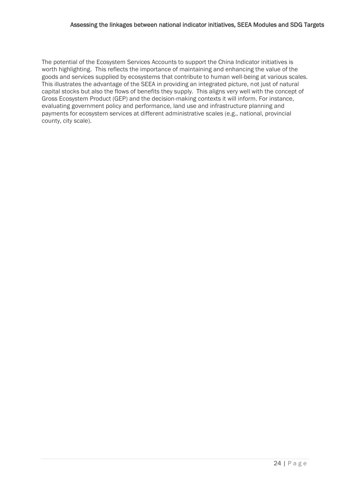The potential of the Ecosystem Services Accounts to support the China Indicator initiatives is worth highlighting. This reflects the importance of maintaining and enhancing the value of the goods and services supplied by ecosystems that contribute to human well-being at various scales. This illustrates the advantage of the SEEA in providing an integrated picture, not just of natural capital stocks but also the flows of benefits they supply. This aligns very well with the concept of Gross Ecosystem Product (GEP) and the decision-making contexts it will inform. For instance, evaluating government policy and performance, land use and infrastructure planning and payments for ecosystem services at different administrative scales (e.g., national, provincial county, city scale).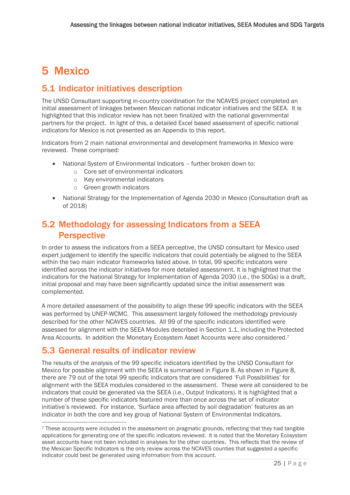## <span id="page-29-0"></span>5 Mexico

## <span id="page-29-1"></span>5.1 Indicator initiatives description

The UNSD Consultant supporting in-country coordination for the NCAVES project completed an initial assessment of linkages between Mexican national indicator initiatives and the SEEA. It is highlighted that this indicator review has not been finalized with the national governmental partners for the project. In light of this, a detailed Excel based assessment of specific national indicators for Mexico is not presented as an Appendix to this report.

Indicators from 2 main national environmental and development frameworks in Mexico were reviewed. These comprised:

- National System of Environmental Indicators further broken down to:
	- o Core set of environmental indicators
	- o Key environmental indicators
	- o Green growth indicators
- National Strategy for the Implementation of Agenda 2030 in Mexico (Consultation draft as of 2018)

## <span id="page-29-2"></span>5.2 Methodology for assessing Indicators from a SEEA **Perspective**

In order to assess the indicators from a SEEA perceptive, the UNSD consultant for Mexico used expert judgement to identify the specific indicators that could potentially be aligned to the SEEA within the two main indicator frameworks listed above. In total, 99 specific indicators were identified across the indicator initiatives for more detailed assessment. It is highlighted that the indicators for the National Strategy for Implementation of Agenda 2030 (i.e., the SDGs) is a draft, initial proposal and may have been significantly updated since the initial assessment was complemented.

A more detailed assessment of the possibility to align these 99 specific indicators with the SEEA was performed by UNEP-WCMC. This assessment largely followed the methodology previously described for the other NCAVES countries. All 99 of the specific indicators identified were assessed for alignment with the SEEA Modules described in Section [1.1,](#page-8-1) including the Protected Area Accounts. In addition the Monetary Ecosystem Asset Accounts were also considered.<sup>7</sup>

## <span id="page-29-3"></span>5.3 General results of indicator review

The results of the analysis of the 99 specific indicators identified by the UNSD Consultant for Mexico for possible alignment with the SEEA is summarised i[n Figure 8.](#page-30-1) As shown in [Figure 8,](#page-30-1) there are 79 out of the total 99 specific indicators that are considered 'Full Possibilities' for alignment with the SEEA modules considered in the assessment. These were all considered to be indicators that could be generated via the SEEA (i.e., Output Indicators). It is highlighted that a number of these specific indicators featured more than once across the set of indicator initiative's reviewed. For instance, 'Surface area affected by soil degradation' features as an indicator in both the core and key group of National System of Environmental Indicators.

<sup>7</sup> These accounts were included in the assessment on pragmatic grounds, reflecting that they had tangible applications for generating one of the specific indicators reviewed. It is noted that the Monetary Ecosystem asset accounts have not been included in analyses for the other countries. This reflects that the review of the Mexican Specific Indicators is the only review across the NCAVES counties that suggested a specific indicator could best be generated using information from this account.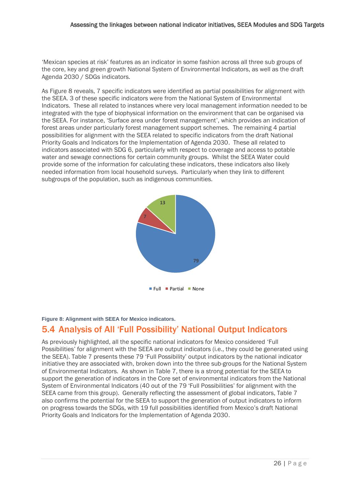'Mexican species at risk' features as an indicator in some fashion across all three sub groups of the core, key and green growth National System of Environmental Indicators, as well as the draft Agenda 2030 / SDGs indicators.

A[s Figure 8](#page-30-1) reveals, 7 specific indicators were identified as partial possibilities for alignment with the SEEA. 3 of these specific indicators were from the National System of Environmental Indicators. These all related to instances where very local management information needed to be integrated with the type of biophysical information on the environment that can be organised via the SEEA. For instance, 'Surface area under forest management', which provides an indication of forest areas under particularly forest management support schemes. The remaining 4 partial possibilities for alignment with the SEEA related to specific indicators from the draft National Priority Goals and Indicators for the Implementation of Agenda 2030. These all related to indicators associated with SDG 6, particularly with respect to coverage and access to potable water and sewage connections for certain community groups. Whilst the SEEA Water could provide some of the information for calculating these indicators, these indicators also likely needed information from local household surveys. Particularly when they link to different subgroups of the population, such as indigenous communities.



#### <span id="page-30-1"></span>**Figure 8: Alignment with SEEA for Mexico indicators.**

### <span id="page-30-0"></span>5.4 Analysis of All 'Full Possibility' National Output Indicators

As previously highlighted, all the specific national indicators for Mexico considered 'Full Possibilities' for alignment with the SEEA are output indicators (i.e., they could be generated using the SEEA)[. Table 7](#page-31-1) presents these 79 'Full Possibility' output indicators by the national indicator initiative they are associated with, broken down into the three sub-groups for the National System of Environmental Indicators. As shown in [Table 7,](#page-31-1) there is a strong potential for the SEEA to support the generation of indicators in the Core set of environmental indicators from the National System of Environmental Indicators (40 out of the 79 'Full Possibilities' for alignment with the SEEA came from this group). Generally reflecting the assessment of global indicators, [Table 7](#page-31-1) also confirms the potential for the SEEA to support the generation of output indicators to inform on progress towards the SDGs, with 19 full possibilities identified from Mexico's draft National Priority Goals and Indicators for the Implementation of Agenda 2030.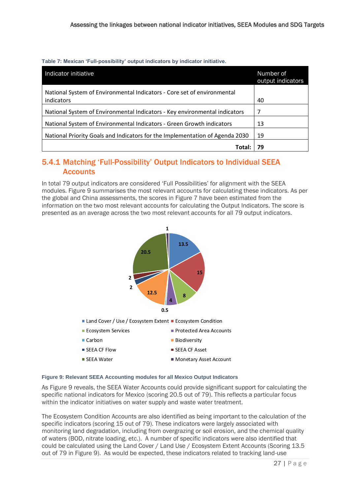<span id="page-31-1"></span>**Table 7: Mexican 'Full-possibility' output indicators by indicator initiative.**

| Indicator initiative                                                                  | Number of<br>output indicators |
|---------------------------------------------------------------------------------------|--------------------------------|
| National System of Environmental Indicators - Core set of environmental<br>indicators | 40                             |
| National System of Environmental Indicators - Key environmental indicators            |                                |
| National System of Environmental Indicators - Green Growth indicators                 | 13                             |
| National Priority Goals and Indicators for the Implementation of Agenda 2030          | 19                             |
| Tota                                                                                  |                                |

### <span id="page-31-0"></span>5.4.1 Matching 'Full-Possibility' Output Indicators to Individual SEEA **Accounts**

In total 79 output indicators are considered 'Full Possibilities' for alignment with the SEEA modules. [Figure 9](#page-31-2) summarises the most relevant accounts for calculating these indicators. As per the global and China assessments, the scores in [Figure 7](#page-26-1) have been estimated from the information on the two most relevant accounts for calculating the Output Indicators. The score is presented as an average across the two most relevant accounts for all 79 output indicators. Relevant Accounting Modules for Mexico Output Indicators



#### <span id="page-31-2"></span>**Figure 9: Relevant SEEA Accounting modules for all Mexico Output Indicators**

A[s Figure 9](#page-31-2) reveals, the SEEA Water Accounts could provide significant support for calculating the specific national indicators for Mexico (scoring 20.5 out of 79). This reflects a particular focus within the indicator initiatives on water supply and waste water treatment.

The Ecosystem Condition Accounts are also identified as being important to the calculation of the specific indicators (scoring 15 out of 79). These indicators were largely associated with monitoring land degradation, including from overgrazing or soil erosion, and the chemical quality of waters (BOD, nitrate loading, etc.). A number of specific indicators were also identified that could be calculated using the Land Cover / Land Use / Ecosystem Extent Accounts (Scoring 13.5 out of 79 in [Figure 9\)](#page-31-2). As would be expected, these indicators related to tracking land-use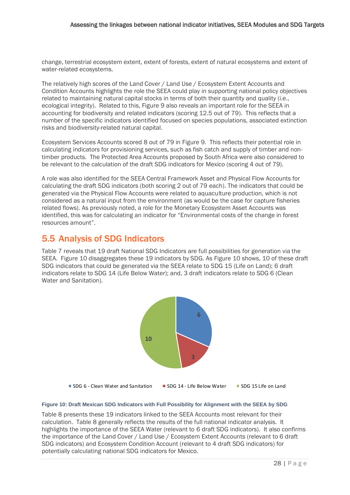change, terrestrial ecosystem extent, extent of forests, extent of natural ecosystems and extent of water-related ecosystems.

The relatively high scores of the Land Cover / Land Use / Ecosystem Extent Accounts and Condition Accounts highlights the role the SEEA could play in supporting national policy objectives related to maintaining natural capital stocks in terms of both their quantity and quality (i.e., ecological integrity). Related to this, [Figure 9](#page-31-2) also reveals an important role for the SEEA in accounting for biodiversity and related indicators (scoring 12.5 out of 79). This reflects that a number of the specific indicators identified focused on species populations, associated extinction risks and biodiversity-related natural capital.

Ecosystem Services Accounts scored 8 out of 79 in [Figure 9.](#page-31-2) This reflects their potential role in calculating indicators for provisioning services, such as fish catch and supply of timber and nontimber products. The Protected Area Accounts proposed by South Africa were also considered to be relevant to the calculation of the draft SDG indicators for Mexico (scoring 4 out of 79).

A role was also identified for the SEEA Central Framework Asset and Physical Flow Accounts for calculating the draft SDG indicators (both scoring 2 out of 79 each). The indicators that could be generated via the Physical Flow Accounts were related to aquaculture production, which is not considered as a natural input from the environment (as would be the case for capture fisheries related flows). As previously noted, a role for the Monetary Ecosystem Asset Accounts was identified, this was for calculating an indicator for "Environmental costs of the change in forest resources amount".

### <span id="page-32-0"></span>5.5 Analysis of SDG Indicators

[Table 7](#page-31-1) reveals that 19 draft National SDG Indicators are full possibilities for generation via the SEEA. [Figure 10](#page-32-1) disaggregates these 19 indicators by SDG. As [Figure 10](#page-32-1) shows, 10 of these draft SDG indicators that could be generated via the SEEA relate to SDG 15 (Life on Land); 6 draft indicators relate to SDG 14 (Life Below Water); and, 3 draft indicators relate to SDG 6 (Clean .<br>Water and Sanitation) Water and Sanitation).



#### <span id="page-32-1"></span>**Figure 10: Draft Mexican SDG Indicators with Full Possibility for Alignment with the SEEA by SDG**

[Table 8](#page-33-0) presents these 19 indicators linked to the SEEA Accounts most relevant for their calculation. [Table 8](#page-33-0) generally reflects the results of the full national indicator analysis. It highlights the importance of the SEEA Water (relevant to 6 draft SDG indicators). It also confirms the importance of the Land Cover / Land Use / Ecosystem Extent Accounts (relevant to 6 draft SDG indicators) and Ecosystem Condition Account (relevant to 4 draft SDG indicators) for potentially calculating national SDG indicators for Mexico.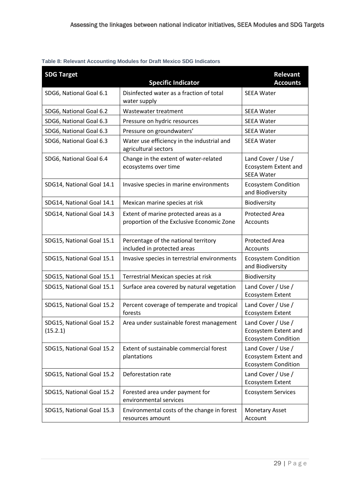#### <span id="page-33-0"></span>**Table 8: Relevant Accounting Modules for Draft Mexico SDG Indicators**

| <b>SDG Target</b>                     | <b>Specific Indicator</b>                                                          | Relevant<br><b>Accounts</b>                                                     |
|---------------------------------------|------------------------------------------------------------------------------------|---------------------------------------------------------------------------------|
| SDG6, National Goal 6.1               | Disinfected water as a fraction of total<br>water supply                           | <b>SEEA Water</b>                                                               |
| SDG6, National Goal 6.2               | Wastewater treatment                                                               | <b>SEEA Water</b>                                                               |
| SDG6, National Goal 6.3               | Pressure on hydric resources                                                       | <b>SEEA Water</b>                                                               |
| SDG6, National Goal 6.3               | Pressure on groundwaters'                                                          | <b>SEEA Water</b>                                                               |
| SDG6, National Goal 6.3               | Water use efficiency in the industrial and<br>agricultural sectors                 | <b>SEEA Water</b>                                                               |
| SDG6, National Goal 6.4               | Change in the extent of water-related<br>ecosystems over time                      | Land Cover / Use /<br>Ecosystem Extent and<br><b>SEEA Water</b>                 |
| SDG14, National Goal 14.1             | Invasive species in marine environments                                            | <b>Ecosystem Condition</b><br>and Biodiversity                                  |
| SDG14, National Goal 14.1             | Mexican marine species at risk                                                     | Biodiversity                                                                    |
| SDG14, National Goal 14.3             | Extent of marine protected areas as a<br>proportion of the Exclusive Economic Zone | <b>Protected Area</b><br>Accounts                                               |
| SDG15, National Goal 15.1             | Percentage of the national territory<br>included in protected areas                | Protected Area<br>Accounts                                                      |
| SDG15, National Goal 15.1             | Invasive species in terrestrial environments                                       | <b>Ecosystem Condition</b><br>and Biodiversity                                  |
| SDG15, National Goal 15.1             | Terrestrial Mexican species at risk                                                | Biodiversity                                                                    |
| SDG15, National Goal 15.1             | Surface area covered by natural vegetation                                         | Land Cover / Use /<br>Ecosystem Extent                                          |
| SDG15, National Goal 15.2             | Percent coverage of temperate and tropical<br>forests                              | Land Cover / Use /<br>Ecosystem Extent                                          |
| SDG15, National Goal 15.2<br>(15.2.1) | Area under sustainable forest management                                           | Land Cover / Use /<br>Ecosystem Extent and<br><b>Ecosystem Condition</b>        |
| SDG15, National Goal 15.2             | Extent of sustainable commercial forest<br>plantations                             | Land Cover / Use /<br><b>Ecosystem Extent and</b><br><b>Ecosystem Condition</b> |
| SDG15, National Goal 15.2             | Deforestation rate                                                                 | Land Cover / Use /<br><b>Ecosystem Extent</b>                                   |
| SDG15, National Goal 15.2             | Forested area under payment for<br>environmental services                          | <b>Ecosystem Services</b>                                                       |
| SDG15, National Goal 15.3             | Environmental costs of the change in forest<br>resources amount                    | <b>Monetary Asset</b><br>Account                                                |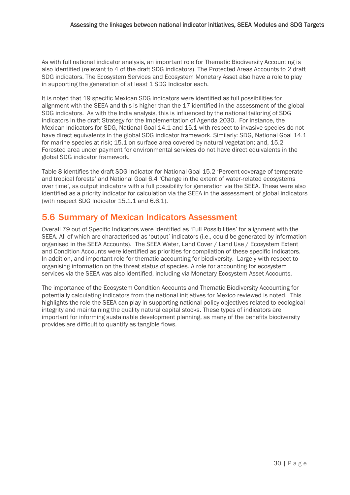As with full national indicator analysis, an important role for Thematic Biodiversity Accounting is also identified (relevant to 4 of the draft SDG indicators). The Protected Areas Accounts to 2 draft SDG indicators. The Ecosystem Services and Ecosystem Monetary Asset also have a role to play in supporting the generation of at least 1 SDG Indicator each.

It is noted that 19 specific Mexican SDG indicators were identified as full possibilities for alignment with the SEEA and this is higher than the 17 identified in the assessment of the global SDG indicators. As with the India analysis, this is influenced by the national tailoring of SDG indicators in the draft Strategy for the Implementation of Agenda 2030. For instance, the Mexican Indicators for SDG, National Goal 14.1 and 15.1 with respect to invasive species do not have direct equivalents in the global SDG indicator framework. Similarly: SDG, National Goal 14.1 for marine species at risk; 15.1 on surface area covered by natural vegetation; and, 15.2 Forested area under payment for environmental services do not have direct equivalents in the global SDG indicator framework.

[Table 8](#page-33-0) identifies the draft SDG Indicator for National Goal 15.2 'Percent coverage of temperate and tropical forests' and National Goal 6.4 'Change in the extent of water-related ecosystems over time'*,* as output indicators with a full possibility for generation via the SEEA. These were also identified as a priority indicator for calculation via the SEEA in the assessment of global indicators (with respect SDG Indicator 15.1.1 and 6.6.1).

### <span id="page-34-0"></span>5.6 Summary of Mexican Indicators Assessment

Overall 79 out of Specific Indicators were identified as 'Full Possibilities' for alignment with the SEEA. All of which are characterised as 'output' indicators (i.e., could be generated by information organised in the SEEA Accounts). The SEEA Water, Land Cover / Land Use / Ecosystem Extent and Condition Accounts were identified as priorities for compilation of these specific indicators. In addition, and important role for thematic accounting for biodiversity. Largely with respect to organising information on the threat status of species. A role for accounting for ecosystem services via the SEEA was also identified, including via Monetary Ecosystem Asset Accounts.

The importance of the Ecosystem Condition Accounts and Thematic Biodiversity Accounting for potentially calculating indicators from the national initiatives for Mexico reviewed is noted. This highlights the role the SEEA can play in supporting national policy objectives related to ecological integrity and maintaining the quality natural capital stocks. These types of indicators are important for informing sustainable development planning, as many of the benefits biodiversity provides are difficult to quantify as tangible flows.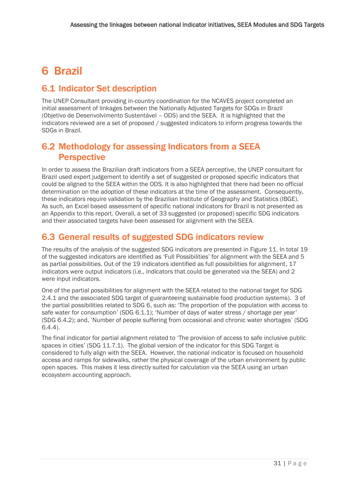## <span id="page-35-0"></span>6 Brazil

## <span id="page-35-1"></span>6.1 Indicator Set description

The UNEP Consultant providing in-country coordination for the NCAVES project completed an initial assessment of linkages between the Nationally Adjusted Targets for SDGs in Brazil (Objetivo de Desenvolvimento Sustentável – ODS) and the SEEA. It is highlighted that the indicators reviewed are a set of proposed / suggested indicators to inform progress towards the SDGs in Brazil.

## <span id="page-35-2"></span>6.2 Methodology for assessing Indicators from a SEEA **Perspective**

In order to assess the Brazilian draft indicators from a SEEA perceptive, the UNEP consultant for Brazil used expert judgement to identify a set of suggested or proposed specific indicators that could be aligned to the SEEA within the ODS. It is also highlighted that there had been no official determination on the adoption of these indicators at the time of the assessment. Consequently, these indicators require validation by the Brazilian Institute of Geography and Statistics (IBGE). As such, an Excel based assessment of specific national indicators for Brazil is not presented as an Appendix to this report. Overall, a set of 33 suggested (or proposed) specific SDG indicators and their associated targets have been assessed for alignment with the SEEA.

## <span id="page-35-3"></span>6.3 General results of suggested SDG indicators review

The results of the analysis of the suggested SDG indicators are presented in [Figure 11.](#page-36-1) In total 19 of the suggested indicators are identified as 'Full Possibilities' for alignment with the SEEA and 5 as partial possibilities. Out of the 19 indicators identified as full possibilities for alignment, 17 indicators were output indicators (i.e., indicators that could be generated via the SEEA) and 2 were input indicators.

One of the partial possibilities for alignment with the SEEA related to the national target for SDG 2.4.1 and the associated SDG target of guaranteeing sustainable food production systems). 3 of the partial possibilities related to SDG 6, such as: 'The proportion of the population with access to safe water for consumption' (SDG 6.1.1); 'Number of days of water stress / shortage per year' (SDG 6.4.2); and, 'Number of people suffering from occasional and chronic water shortages' (SDG 6.4.4).

The final indicator for partial alignment related to 'The provision of access to safe inclusive public spaces in cities' (SDG 11.7.1). The global version of the indicator for this SDG Target is considered to fully align with the SEEA. However, the national indicator is focused on household access and ramps for sidewalks, rather the physical coverage of the urban environment by public open spaces. This makes it less directly suited for calculation via the SEEA using an urban ecosystem accounting approach.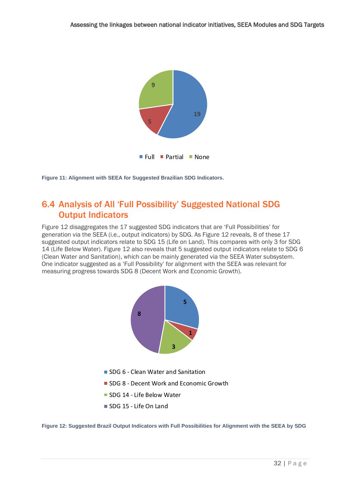

<span id="page-36-1"></span>**Figure 11: Alignment with SEEA for Suggested Brazilian SDG Indicators.** 

### <span id="page-36-0"></span>6.4 Analysis of All 'Full Possibility' Suggested National SDG Output Indicators

[Figure 12](#page-36-2) disaggregates the 17 suggested SDG indicators that are 'Full Possibilities' for generation via the SEEA (i.e., output indicators) by SDG. As [Figure 12](#page-36-2) reveals, 8 of these 17 suggested output indicators relate to SDG 15 (Life on Land). This compares with only 3 for SDG 14 (Life Below Water). [Figure 12](#page-36-2) also reveals that 5 suggested output indicators relate to SDG 6 (Clean Water and Sanitation), which can be mainly generated via the SEEA Water subsystem. One indicator suggested as a 'Full Possibility' for alignment with the SEEA was relevant for one malcator suggested as a Tull Possibility for alignment with the SEEA<br>measuring progress towards SDG 8 (Decent Work and Economic Growth).



- SDG 6 Clean Water and Sanitation
- **SDG 8 Decent Work and Economic Growth**
- **SDG 14 Life Below Water**
- SDG 15 Life On Land

<span id="page-36-2"></span>**Figure 12: Suggested Brazil Output Indicators with Full Possibilities for Alignment with the SEEA by SDG**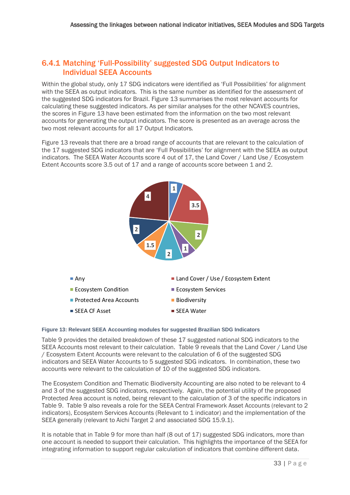#### <span id="page-37-0"></span>6.4.1 Matching 'Full-Possibility' suggested SDG Output Indicators to Individual SEEA Accounts

Within the global study, only 17 SDG indicators were identified as 'Full Possibilities' for alignment with the SEEA as output indicators. This is the same number as identified for the assessment of the suggested SDG indicators for Brazil. [Figure 13](#page-37-1) summarises the most relevant accounts for calculating these suggested indicators. As per similar analyses for the other NCAVES countries, the scores in [Figure 13](#page-37-1) have been estimated from the information on the two most relevant accounts for generating the output indicators. The score is presented as an average across the two most relevant accounts for all 17 Output Indicators.

[Figure 13](#page-37-1) reveals that there are a broad range of accounts that are relevant to the calculation of the 17 suggested SDG indicators that are 'Full Possibilities' for alignment with the SEEA as output indicators. The SEEA Water Accounts score 4 out of 17, the Land Cover / Land Use / Ecosystem Extent Accounts score 3.5 out of 17 and a range of accounts score between 1 and 2.



#### <span id="page-37-1"></span>**Figure 13: Relevant SEEA Accounting modules for suggested Brazilian SDG Indicators**

[Table 9](#page-38-0) provides the detailed breakdown of these 17 suggested national SDG indicators to the SEEA Accounts most relevant to their calculation. [Table 9](#page-38-0) reveals that the Land Cover / Land Use / Ecosystem Extent Accounts were relevant to the calculation of 6 of the suggested SDG indicators and SEEA Water Accounts to 5 suggested SDG indicators. In combination, these two accounts were relevant to the calculation of 10 of the suggested SDG indicators.

The Ecosystem Condition and Thematic Biodiversity Accounting are also noted to be relevant to 4 and 3 of the suggested SDG indicators, respectively. Again, the potential utility of the proposed Protected Area account is noted, being relevant to the calculation of 3 of the specific indicators in [Table 9. Table 9](#page-38-0) also reveals a role for the SEEA Central Framework Asset Accounts (relevant to 2 indicators), Ecosystem Services Accounts (Relevant to 1 indicator) and the implementation of the SEEA generally (relevant to Aichi Target 2 and associated SDG 15.9.1).

It is notable that in [Table 9](#page-38-0) for more than half (8 out of 17) suggested SDG indicators, more than one account is needed to support their calculation. This highlights the importance of the SEEA for integrating information to support regular calculation of indicators that combine different data.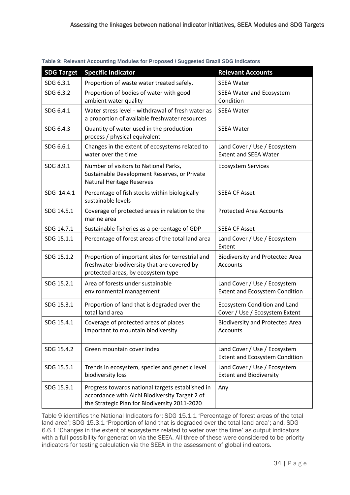| <b>SDG Target</b> | <b>Specific Indicator</b>                                                                                                                           | <b>Relevant Accounts</b>                                              |  |  |
|-------------------|-----------------------------------------------------------------------------------------------------------------------------------------------------|-----------------------------------------------------------------------|--|--|
| SDG 6.3.1         | Proportion of waste water treated safely.                                                                                                           | <b>SEEA Water</b>                                                     |  |  |
| SDG 6.3.2         | Proportion of bodies of water with good<br>ambient water quality                                                                                    | <b>SEEA Water and Ecosystem</b><br>Condition                          |  |  |
| SDG 6.4.1         | Water stress level - withdrawal of fresh water as<br>a proportion of available freshwater resources                                                 | <b>SEEA Water</b>                                                     |  |  |
| SDG 6.4.3         | Quantity of water used in the production<br>process / physical equivalent                                                                           | <b>SEEA Water</b>                                                     |  |  |
| SDG 6.6.1         | Changes in the extent of ecosystems related to<br>water over the time                                                                               | Land Cover / Use / Ecosystem<br><b>Extent and SEEA Water</b>          |  |  |
| SDG 8.9.1         | Number of visitors to National Parks,<br>Sustainable Development Reserves, or Private<br><b>Natural Heritage Reserves</b>                           | <b>Ecosystem Services</b>                                             |  |  |
| SDG 14.4.1        | Percentage of fish stocks within biologically<br>sustainable levels                                                                                 | <b>SEEA CF Asset</b>                                                  |  |  |
| SDG 14.5.1        | Coverage of protected areas in relation to the<br>marine area                                                                                       | <b>Protected Area Accounts</b>                                        |  |  |
| SDG 14.7.1        | Sustainable fisheries as a percentage of GDP                                                                                                        | <b>SEEA CF Asset</b>                                                  |  |  |
| SDG 15.1.1        | Percentage of forest areas of the total land area                                                                                                   | Land Cover / Use / Ecosystem<br>Extent                                |  |  |
| SDG 15.1.2        | Proportion of important sites for terrestrial and<br>freshwater biodiversity that are covered by<br>protected areas, by ecosystem type              | <b>Biodiversity and Protected Area</b><br>Accounts                    |  |  |
| SDG 15.2.1        | Area of forests under sustainable<br>environmental management                                                                                       | Land Cover / Use / Ecosystem<br><b>Extent and Ecosystem Condition</b> |  |  |
| SDG 15.3.1        | Proportion of land that is degraded over the<br>total land area                                                                                     | Ecosystem Condition and Land<br>Cover / Use / Ecosystem Extent        |  |  |
| SDG 15.4.1        | Coverage of protected areas of places<br>important to mountain biodiversity                                                                         | <b>Biodiversity and Protected Area</b><br>Accounts                    |  |  |
| SDG 15.4.2        | Green mountain cover index                                                                                                                          | Land Cover / Use / Ecosystem<br><b>Extent and Ecosystem Condition</b> |  |  |
| SDG 15.5.1        | Trends in ecosystem, species and genetic level<br>biodiversity loss                                                                                 | Land Cover / Use / Ecosystem<br><b>Extent and Biodiversity</b>        |  |  |
| SDG 15.9.1        | Progress towards national targets established in<br>accordance with Aichi Biodiversity Target 2 of<br>the Strategic Plan for Biodiversity 2011-2020 | Any                                                                   |  |  |

<span id="page-38-0"></span>**Table 9: Relevant Accounting Modules for Proposed / Suggested Brazil SDG Indicators**

[Table 9](#page-38-0) identifies the National Indicators for: SDG 15.1.1 'Percentage of forest areas of the total land area'; SDG 15.3.1 'Proportion of land that is degraded over the total land area'; and, SDG 6.6.1 'Changes in the extent of ecosystems related to water over the time' as output indicators with a full possibility for generation via the SEEA. All three of these were considered to be priority indicators for testing calculation via the SEEA in the assessment of global indicators.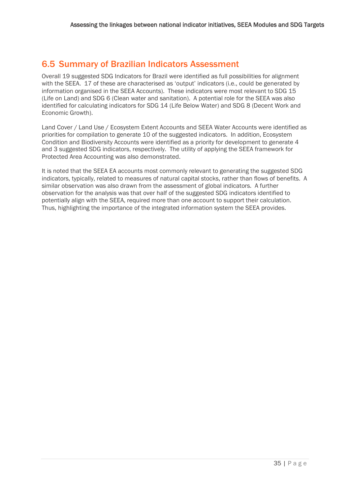## <span id="page-39-0"></span>6.5 Summary of Brazilian Indicators Assessment

Overall 19 suggested SDG Indicators for Brazil were identified as full possibilities for alignment with the SEEA. 17 of these are characterised as 'output' indicators (i.e., could be generated by information organised in the SEEA Accounts). These indicators were most relevant to SDG 15 (Life on Land) and SDG 6 (Clean water and sanitation). A potential role for the SEEA was also identified for calculating indicators for SDG 14 (Life Below Water) and SDG 8 (Decent Work and Economic Growth).

Land Cover / Land Use / Ecosystem Extent Accounts and SEEA Water Accounts were identified as priorities for compilation to generate 10 of the suggested indicators. In addition, Ecosystem Condition and Biodiversity Accounts were identified as a priority for development to generate 4 and 3 suggested SDG indicators, respectively. The utility of applying the SEEA framework for Protected Area Accounting was also demonstrated.

It is noted that the SEEA EA accounts most commonly relevant to generating the suggested SDG indicators, typically, related to measures of natural capital stocks, rather than flows of benefits. A similar observation was also drawn from the assessment of global indicators. A further observation for the analysis was that over half of the suggested SDG indicators identified to potentially align with the SEEA, required more than one account to support their calculation. Thus, highlighting the importance of the integrated information system the SEEA provides.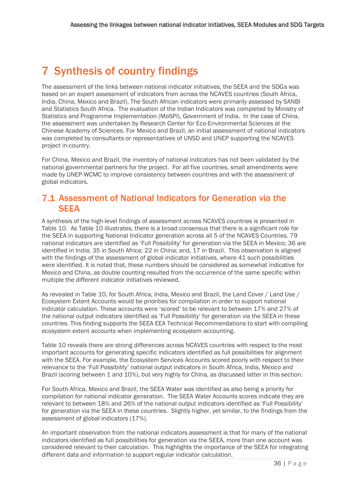## <span id="page-40-0"></span>7 Synthesis of country findings

The assessment of the links between national indicator initiatives, the SEEA and the SDGs was based on an expert assessment of indicators from across the NCAVES countries (South Africa, India, China, Mexico and Brazil). The South African indicators were primarily assessed by SANBI and Statistics South Africa. The evaluation of the Indian Indicators was completed by Ministry of Statistics and Programme Implementation (MoSPI), Government of India. In the case of China, the assessment was undertaken by Research Center for Eco-Environmental Sciences at the Chinese Academy of Sciences. For Mexico and Brazil, an initial assessment of national indicators was completed by consultants or representatives of UNSD and UNEP supporting the NCAVES project in-country.

For China, Mexico and Brazil, the inventory of national indicators has not been validated by the national governmental partners for the project. For all five countries, small amendments were made by UNEP-WCMC to improve consistency between countries and with the assessment of global indicators.

## <span id="page-40-1"></span>7.1 Assessment of National Indicators for Generation via the **SEEA**

A synthesis of the high-level findings of assessment across NCAVES countries is presented in [Table 10.](#page-41-0) As [Table 10](#page-41-0) illustrates, there is a broad consensus that there is a significant role for the SEEA in supporting National Indicator generation across all 5 of the NCAVES Countries. 79 national indicators are identified as 'Full Possibility' for generation via the SEEA in Mexico; 36 are identified in India; 35 in South Africa; 22 in China; and, 17 in Brazil. This observation is aligned with the findings of the assessment of global indicator initiatives, where 41 such possibilities were identified. It is noted that, these numbers should be considered as somewhat indicative for Mexico and China, as double counting resulted from the occurrence of the same specific within multiple the different indicator initiatives reviewed.

As revealed i[n Table 10,](#page-41-0) for South Africa, India, Mexico and Brazil, the Land Cover / Land Use / Ecosystem Extent Accounts would be priorities for compilation in order to support national indicator calculation. These accounts were 'scored' to be relevant to between 17% and 27% of the national output indicators identified as 'Full Possibility' for generation via the SEEA in these countries. This finding supports the SEEA EEA Technical Recommendations to start with compiling ecosystem extent accounts when implementing ecosystem accounting.

[Table 10](#page-41-0) reveals there are strong differences across NCAVES countries with respect to the most important accounts for generating specific indicators identified as full possibilities for alignment with the SEEA. For example, the Ecosystem Services Accounts scored poorly with respect to their relevance to the 'Full Possibility' national output indicators in South Africa, India, Mexico and Brazil (scoring between 1 and 10%), but very highly for China, as discussed latter in this section.

For South Africa, Mexico and Brazil, the SEEA Water was identified as also being a priority for compilation for national indicator generation. The SEEA Water Accounts scores indicate they are relevant to between 18% and 26% of the national output indicators identified as 'Full Possibility' for generation via the SEEA in these countries. Slightly higher, yet similar, to the findings from the assessment of global indicators (17%).

An important observation from the national indicators assessment is that for many of the national indicators identified as full possibilities for generation via the SEEA, more than one account was considered relevant to their calculation. This highlights the importance of the SEEA for integrating different data and information to support regular indicator calculation.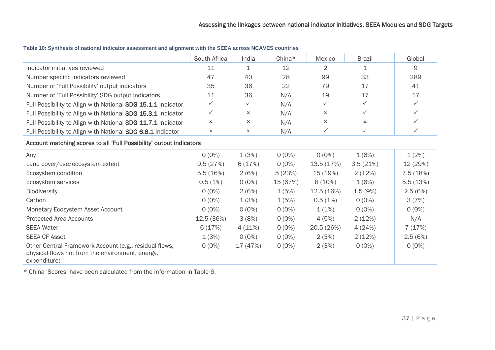|                                                                                                                            | South Africa | India        | China*   | Mexico         | <b>Brazil</b>             | Global       |  |  |
|----------------------------------------------------------------------------------------------------------------------------|--------------|--------------|----------|----------------|---------------------------|--------------|--|--|
| Indicator initiatives reviewed                                                                                             | 11           | 1            | 12       | $\overline{2}$ | 1                         | 9            |  |  |
| Number specific indicators reviewed                                                                                        | 47           | 40           | 28       | 99             | 33                        | 289          |  |  |
| Number of 'Full Possibility' output indicators                                                                             | 35           | 36           | 22       | 79             | 17                        | 41           |  |  |
| Number of 'Full Possibility' SDG output indicators                                                                         | 11           | 36           | N/A      | 19             | 17                        | 17           |  |  |
| Full Possibility to Align with National SDG 15.1.1 Indicator                                                               | $\checkmark$ | $\checkmark$ | N/A      | $\checkmark$   | ✓                         | $\checkmark$ |  |  |
| Full Possibility to Align with National SDG 15.3.1 Indicator                                                               | $\checkmark$ | x            | N/A      | x              | ✓                         | $\checkmark$ |  |  |
| Full Possibility to Align with National SDG 11.7.1 Indicator                                                               | $\times$     | x            | N/A      | $\pmb{\times}$ | $\boldsymbol{\mathsf{x}}$ | ✓            |  |  |
| Full Possibility to Align with National SDG 6.6.1 Indicator                                                                | x            | x            | N/A      | $\checkmark$   | ✓                         |              |  |  |
| Account matching scores to all 'Full Possibility' output indicators                                                        |              |              |          |                |                           |              |  |  |
| Any                                                                                                                        | $0(0\%)$     | 1(3%)        | $0(0\%)$ | $0(0\%)$       | 1(6%)                     | 1(2%)        |  |  |
| Land cover/use/ecosystem extent                                                                                            | 9.5(27%)     | 6(17%)       | $0(0\%)$ | 13.5(17%)      | 3.5(21%)                  | 12 (29%)     |  |  |
| Ecosystem condition                                                                                                        | 5.5(16%)     | 2(6%)        | 5(23%)   | 15 (19%)       | 2(12%)                    | 7.5(18%)     |  |  |
| Ecosystem services                                                                                                         | 0.5(1%)      | $O(0\%)$     | 15 (67%) | 8(10%)         | 1(6%)                     | 5.5(13%)     |  |  |
| <b>Biodiversity</b>                                                                                                        | $O(0\%)$     | 2(6%)        | 1(5%)    | 12.5(16%)      | 1.5(9%)                   | 2.5(6%)      |  |  |
| Carbon                                                                                                                     | $0(0\%)$     | 1(3%)        | 1(5%)    | 0.5(1%)        | $O(0\%)$                  | 3(7%)        |  |  |
| Monetary Ecosystem Asset Account                                                                                           | $0(0\%)$     | $0(0\%)$     | $0(0\%)$ | 1(1%)          | $0(0\%)$                  | $O(0\%)$     |  |  |
| <b>Protected Area Accounts</b>                                                                                             | 12.5 (36%)   | 3(8%)        | $O(0\%)$ | 4 (5%)         | 2(12%)                    | N/A          |  |  |
| <b>SEEA Water</b>                                                                                                          | 6(17%)       | 4(11%)       | $O(0\%)$ | 20.5 (26%)     | 4(24%)                    | 7(17%)       |  |  |
| <b>SEEA CF Asset</b>                                                                                                       | 1(3%)        | $O(0\%)$     | $0(0\%)$ | 2(3%)          | 2(12%)                    | 2.5(6%)      |  |  |
| Other Central Framework Account (e.g., residual flows,<br>physical flows not from the environment, energy,<br>expenditure) | $0(0\%)$     | 17 (47%)     | $O(0\%)$ | 2(3%)          | $O(0\%)$                  | $O(0\%)$     |  |  |

**Table 10: Synthesis of national indicator assessment and alignment with the SEEA across NCAVES countries**

<span id="page-41-0"></span>\* China 'Scores' have been calculated from the information in [Table 6.](#page-27-2)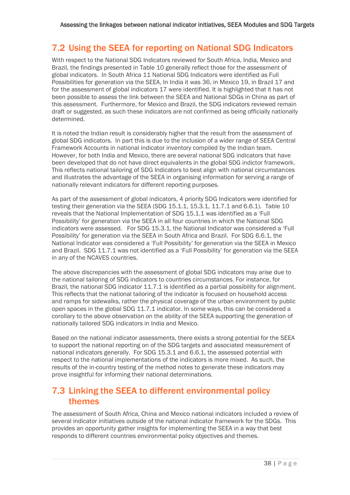## <span id="page-42-0"></span>7.2 Using the SEEA for reporting on National SDG Indicators

With respect to the National SDG Indicators reviewed for South Africa, India, Mexico and Brazil, the findings presented in [Table 10](#page-41-0) generally reflect those for the assessment of global indicators. In South Africa 11 National SDG Indicators were identified as Full Possibilities for generation via the SEEA, In India it was 36, in Mexico 19, in Brazil 17 and for the assessment of global indicators 17 were identified. It is highlighted that it has not been possible to assess the link between the SEEA and National SDGs in China as part of this assessment. Furthermore, for Mexico and Brazil, the SDG indicators reviewed remain draft or suggested, as such these indicators are not confirmed as being officially nationally determined.

It is noted the Indian result is considerably higher that the result from the assessment of global SDG indicators. In part this is due to the inclusion of a wider range of SEEA Central Framework Accounts in national indicator inventory compiled by the Indian team. However, for both India and Mexico, there are several national SDG indicators that have been developed that do not have direct equivalents in the global SDG indictor framework. This reflects national tailoring of SDG Indicators to best align with national circumstances and illustrates the advantage of the SEEA in organising information for serving a range of nationally relevant indicators for different reporting purposes.

As part of the assessment of global indicators, 4 priority SDG Indicators were identified for testing their generation via the SEEA (SDG 15.1.1, 15.3.1, 11.7.1 and 6.6.1). [Table 10](#page-41-0) reveals that the National Implementation of SDG 15.1.1 was identified as a 'Full Possibility' for generation via the SEEA in all four countries in which the National SDG indicators were assessed. For SDG 15.3.1, the National Indicator was considered a 'Full Possibility' for generation via the SEEA in South Africa and Brazil. For SDG 6.6.1, the National Indicator was considered a 'Full Possibility' for generation via the SEEA in Mexico and Brazil. SDG 11.7.1 was not identified as a 'Full Possibility' for generation via the SEEA in any of the NCAVES countries.

The above discrepancies with the assessment of global SDG indicators may arise due to the national tailoring of SDG indicators to countries circumstances. For instance, for Brazil, the national SDG indicator 11.7.1 is identified as a partial possibility for alignment. This reflects that the national tailoring of the indicator is focused on household access and ramps for sidewalks, rather the physical coverage of the urban environment by public open spaces in the global SDG 11.7.1 indicator. In some ways, this can be considered a corollary to the above observation on the ability of the SEEA supporting the generation of nationally tailored SDG indicators in India and Mexico.

Based on the national indicator assessments, there exists a strong potential for the SEEA to support the national reporting on of the SDG targets and associated measurement of national indicators generally. For SDG 15.3.1 and 6.6.1, the assessed potential with respect to the national implementations of the indicators is more mixed. As such, the results of the in-country testing of the method notes to generate these indicators may prove insightful for informing their national determinations.

## <span id="page-42-1"></span>7.3 Linking the SEEA to different environmental policy themes

The assessment of South Africa, China and Mexico national indicators included a review of several indicator initiatives outside of the national indicator framework for the SDGs. This provides an opportunity gather insights for implementing the SEEA in a way that best responds to different countries environmental policy objectives and themes.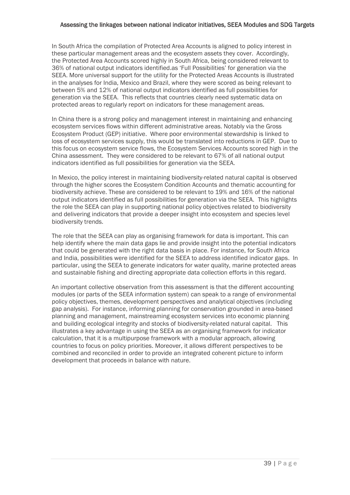#### Assessing the linkages between national indicator initiatives, SEEA Modules and SDG Targets

In South Africa the compilation of Protected Area Accounts is aligned to policy interest in these particular management areas and the ecosystem assets they cover. Accordingly, the Protected Area Accounts scored highly in South Africa, being considered relevant to 36% of national output indicators identified.as 'Full Possibilities' for generation via the SEEA. More universal support for the utility for the Protected Areas Accounts is illustrated in the analyses for India, Mexico and Brazil, where they were scored as being relevant to between 5% and 12% of national output indicators identified as full possibilities for generation via the SEEA. This reflects that countries clearly need systematic data on protected areas to regularly report on indicators for these management areas.

In China there is a strong policy and management interest in maintaining and enhancing ecosystem services flows within different administrative areas. Notably via the Gross Ecosystem Product (GEP) initiative. Where poor environmental stewardship is linked to loss of ecosystem services supply, this would be translated into reductions in GEP. Due to this focus on ecosystem service flows, the Ecosystem Services Accounts scored high in the China assessment. They were considered to be relevant to 67% of all national output indicators identified as full possibilities for generation via the SEEA.

In Mexico, the policy interest in maintaining biodiversity-related natural capital is observed through the higher scores the Ecosystem Condition Accounts and thematic accounting for biodiversity achieve. These are considered to be relevant to 19% and 16% of the national output indicators identified as full possibilities for generation via the SEEA. This highlights the role the SEEA can play in supporting national policy objectives related to biodiversity and delivering indicators that provide a deeper insight into ecosystem and species level biodiversity trends.

The role that the SEEA can play as organising framework for data is important. This can help identify where the main data gaps lie and provide insight into the potential indicators that could be generated with the right data basis in place. For instance, for South Africa and India, possibilities were identified for the SEEA to address identified indicator gaps. In particular, using the SEEA to generate indicators for water quality, marine protected areas and sustainable fishing and directing appropriate data collection efforts in this regard.

An important collective observation from this assessment is that the different accounting modules (or parts of the SEEA information system) can speak to a range of environmental policy objectives, themes, development perspectives and analytical objectives (including gap analysis). For instance, informing planning for conservation grounded in area-based planning and management, mainstreaming ecosystem services into economic planning and building ecological integrity and stocks of biodiversity-related natural capital. This illustrates a key advantage in using the SEEA as an organising framework for indicator calculation, that it is a multipurpose framework with a modular approach, allowing countries to focus on policy priorities. Moreover, it allows different perspectives to be combined and reconciled in order to provide an integrated coherent picture to inform development that proceeds in balance with nature.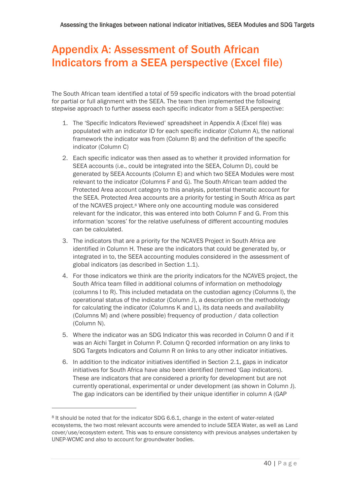## <span id="page-44-0"></span>Appendix A: Assessment of South African Indicators from a SEEA perspective (Excel file)

The South African team identified a total of 59 specific indicators with the broad potential for partial or full alignment with the SEEA. The team then implemented the following stepwise approach to further assess each specific indicator from a SEEA perspective:

- 1. The 'Specific Indicators Reviewed' spreadsheet in Appendix A (Excel file) was populated with an indicator ID for each specific indicator (Column A), the national framework the indicator was from (Column B) and the definition of the specific indicator (Column C)
- 2. Each specific indicator was then assed as to whether it provided information for SEEA accounts (i.e., could be integrated into the SEEA, Column D), could be generated by SEEA Accounts (Column E) and which two SEEA Modules were most relevant to the indicator (Columns F and G). The South African team added the Protected Area account category to this analysis, potential thematic account for the SEEA. Protected Area accounts are a priority for testing in South Africa as part of the NCAVES project.<sup>8</sup> Where only one accounting module was considered relevant for the indicator, this was entered into both Column F and G. From this information 'scores' for the relative usefulness of different accounting modules can be calculated.
- 3. The indicators that are a priority for the NCAVES Project in South Africa are identified in Column H. These are the indicators that could be generated by, or integrated in to, the SEEA accounting modules considered in the assessment of global indicators (as described in Section [1.1\)](#page-8-1).
- 4. For those indicators we think are the priority indicators for the NCAVES project, the South Africa team filled in additional columns of information on methodology (columns I to R). This included metadata on the custodian agency (Columns I), the operational status of the indicator (Column J), a description on the methodology for calculating the indicator (Columns K and L), its data needs and availability (Columns M) and (where possible) frequency of production / data collection (Column N).
- 5. Where the indicator was an SDG Indicator this was recorded in Column O and if it was an Aichi Target in Column P. Column Q recorded information on any links to SDG Targets Indicators and Column R on links to any other indicator initiatives.
- 6. In addition to the indicator initiatives identified in Section [2.1,](#page-10-1) gaps in indicator initiatives for South Africa have also been identified (termed 'Gap indicators). These are indicators that are considered a priority for development but are not currently operational, experimental or under development (as shown in Column J). The gap indicators can be identified by their unique identifier in column A (GAP

<sup>8</sup> It should be noted that for the indicator SDG 6.6.1, change in the extent of water-related ecosystems, the two most relevant accounts were amended to include SEEA Water, as well as Land cover/use/ecosystem extent. This was to ensure consistency with previous analyses undertaken by UNEP-WCMC and also to account for groundwater bodies.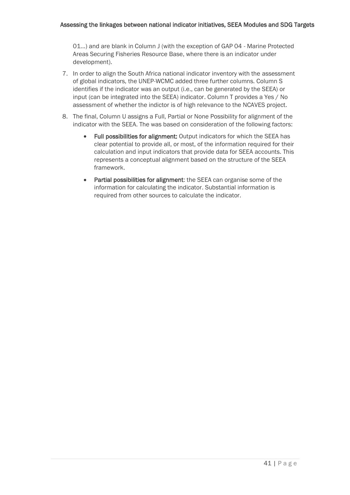01...) and are blank in Column J (with the exception of GAP 04 - Marine Protected Areas Securing Fisheries Resource Base, where there is an indicator under development).

- 7. In order to align the South Africa national indicator inventory with the assessment of global indicators, the UNEP-WCMC added three further columns. Column S identifies if the indicator was an output (i.e., can be generated by the SEEA) or input (can be integrated into the SEEA) indicator. Column T provides a Yes / No assessment of whether the indictor is of high relevance to the NCAVES project.
- 8. The final, Column U assigns a Full, Partial or None Possibility for alignment of the indicator with the SEEA. The was based on consideration of the following factors:
	- Full possibilities for alignment: Output indicators for which the SEEA has clear potential to provide all, or most, of the information required for their calculation and input indicators that provide data for SEEA accounts. This represents a conceptual alignment based on the structure of the SEEA framework.
	- Partial possibilities for alignment: the SEEA can organise some of the information for calculating the indicator. Substantial information is required from other sources to calculate the indicator.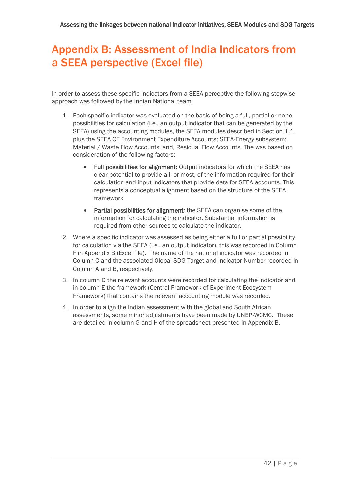## <span id="page-46-0"></span>Appendix B: Assessment of India Indicators from a SEEA perspective (Excel file)

In order to assess these specific indicators from a SEEA perceptive the following stepwise approach was followed by the Indian National team:

- 1. Each specific indicator was evaluated on the basis of being a full, partial or none possibilities for calculation (i.e., an output indicator that can be generated by the SEEA) using the accounting modules, the SEEA modules described in Section [1.1](#page-8-1) plus the SEEA CF Environment Expenditure Accounts; SEEA-Energy subsystem; Material / Waste Flow Accounts; and, Residual Flow Accounts. The was based on consideration of the following factors:
	- Full possibilities for alignment: Output indicators for which the SEEA has clear potential to provide all, or most, of the information required for their calculation and input indicators that provide data for SEEA accounts. This represents a conceptual alignment based on the structure of the SEEA framework.
	- Partial possibilities for alignment: the SEEA can organise some of the information for calculating the indicator. Substantial information is required from other sources to calculate the indicator.
- 2. Where a specific indicator was assessed as being either a full or partial possibility for calculation via the SEEA (i.e., an output indicator), this was recorded in Column F in Appendix B (Excel file). The name of the national indicator was recorded in Column C and the associated Global SDG Target and Indicator Number recorded in Column A and B, respectively.
- 3. In column D the relevant accounts were recorded for calculating the indicator and in column E the framework (Central Framework of Experiment Ecosystem Framework) that contains the relevant accounting module was recorded.
- 4. In order to align the Indian assessment with the global and South African assessments, some minor adjustments have been made by UNEP-WCMC. These are detailed in column G and H of the spreadsheet presented in Appendix B.